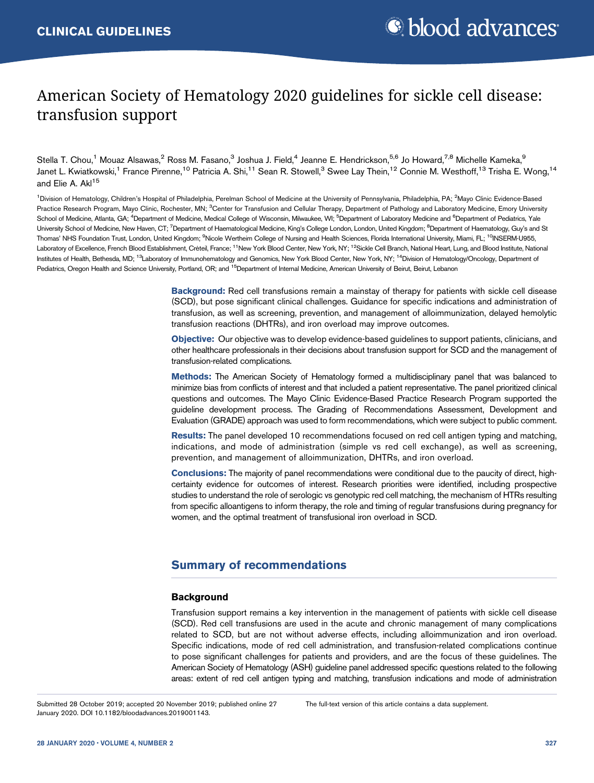# American Society of Hematology 2020 guidelines for sickle cell disease: transfusion support

Stella T. Chou,<sup>1</sup> Mouaz Alsawas,<sup>2</sup> Ross M. Fasano,<sup>3</sup> Joshua J. Field,<sup>4</sup> Jeanne E. Hendrickson,<sup>5,6</sup> Jo Howard,<sup>7,8</sup> Michelle Kameka,<sup>9</sup> Janet L. Kwiatkowski,<sup>1</sup> France Pirenne,<sup>10</sup> Patricia A. Shi,<sup>11</sup> Sean R. Stowell,<sup>3</sup> Swee Lay Thein,<sup>12</sup> Connie M. Westhoff,<sup>13</sup> Trisha E. Wong,<sup>14</sup> and Flie A. Akl<sup>15</sup>

<sup>1</sup>Division of Hematology, Children's Hospital of Philadelphia, Perelman School of Medicine at the University of Pennsylvania, Philadelphia, PA; <sup>2</sup>Mayo Clinic Evidence-Based Practice Research Program, Mayo Clinic, Rochester, MN; <sup>3</sup>Center for Transfusion and Cellular Therapy, Department of Pathology and Laboratory Medicine, Emory University School of Medicine, Atlanta, GA; <sup>4</sup>Department of Medicine, Medical College of Wisconsin, Milwaukee, WI; <sup>5</sup>Department of Laboratory Medicine and <sup>6</sup>Department of Pediatrics, Yale University School of Medicine, New Haven, CT; <sup>7</sup>Department of Haematological Medicine, King's College London, London, United Kingdom; <sup>8</sup>Department of Haematology, Guy's and St Thomas' NHS Foundation Trust, London, United Kingdom; <sup>9</sup>Nicole Wertheim College of Nursing and Health Sciences, Florida International University, Miami, FL; <sup>10</sup>INSERM-U955, Laboratory of Excellence, French Blood Establishment, Créteil, France; <sup>11</sup>New York Blood Center, New York, NY; <sup>12</sup>Sickle Cell Branch, National Heart, Lung, and Blood Institute, National Institutes of Health, Bethesda, MD; <sup>13</sup>Laboratory of Immunohematology and Genomics, New York Blood Center, New York, NY; <sup>14</sup>Division of Hematology/Oncology, Department of Pediatrics, Oregon Health and Science University, Portland, OR; and <sup>15</sup>Department of Internal Medicine, American University of Beirut, Eebanon

> Background: Red cell transfusions remain a mainstay of therapy for patients with sickle cell disease (SCD), but pose significant clinical challenges. Guidance for specific indications and administration of transfusion, as well as screening, prevention, and management of alloimmunization, delayed hemolytic transfusion reactions (DHTRs), and iron overload may improve outcomes.

> Objective: Our objective was to develop evidence-based guidelines to support patients, clinicians, and other healthcare professionals in their decisions about transfusion support for SCD and the management of transfusion-related complications.

> Methods: The American Society of Hematology formed a multidisciplinary panel that was balanced to minimize bias from conflicts of interest and that included a patient representative. The panel prioritized clinical questions and outcomes. The Mayo Clinic Evidence-Based Practice Research Program supported the guideline development process. The Grading of Recommendations Assessment, Development and Evaluation (GRADE) approach was used to form recommendations, which were subject to public comment.

> Results: The panel developed 10 recommendations focused on red cell antigen typing and matching, indications, and mode of administration (simple vs red cell exchange), as well as screening, prevention, and management of alloimmunization, DHTRs, and iron overload.

> Conclusions: The majority of panel recommendations were conditional due to the paucity of direct, highcertainty evidence for outcomes of interest. Research priorities were identified, including prospective studies to understand the role of serologic vs genotypic red cell matching, the mechanism of HTRs resulting from specific alloantigens to inform therapy, the role and timing of regular transfusions during pregnancy for women, and the optimal treatment of transfusional iron overload in SCD.

# Summary of recommendations

#### **Background**

Transfusion support remains a key intervention in the management of patients with sickle cell disease (SCD). Red cell transfusions are used in the acute and chronic management of many complications related to SCD, but are not without adverse effects, including alloimmunization and iron overload. Specific indications, mode of red cell administration, and transfusion-related complications continue to pose significant challenges for patients and providers, and are the focus of these guidelines. The American Society of Hematology (ASH) guideline panel addressed specific questions related to the following areas: extent of red cell antigen typing and matching, transfusion indications and mode of administration

Submitted 28 October 2019; accepted 20 November 2019; published online 27 January 2020. DOI 10.1182/bloodadvances.2019001143.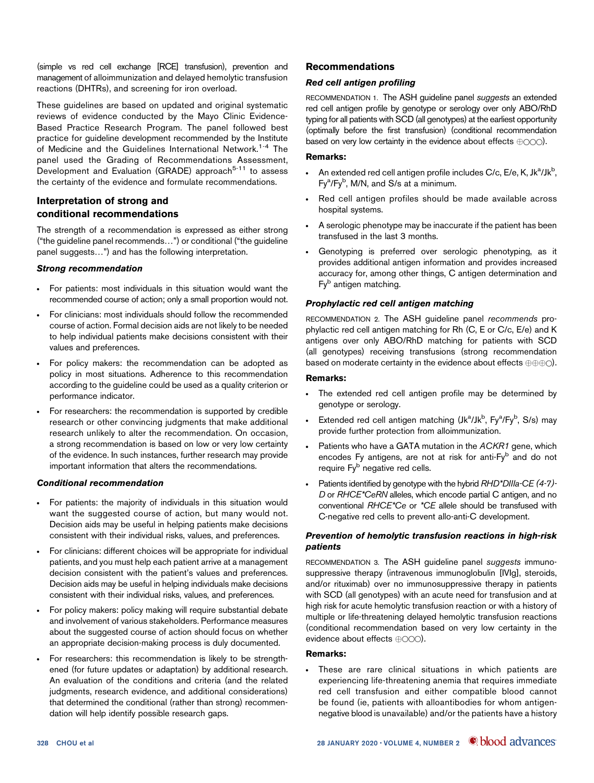(simple vs red cell exchange [RCE] transfusion), prevention and management of alloimmunization and delayed hemolytic transfusion reactions (DHTRs), and screening for iron overload.

These guidelines are based on updated and original systematic reviews of evidence conducted by the Mayo Clinic Evidence-Based Practice Research Program. The panel followed best practice for guideline development recommended by the Institute of Medicine and the Guidelines International Network.<sup>1-4</sup> The panel used the Grading of Recommendations Assessment, Development and Evaluation (GRADE) approach $5-11$  to assess the certainty of the evidence and formulate recommendations.

# Interpretation of strong and conditional recommendations

The strength of a recommendation is expressed as either strong ("the guideline panel recommends…") or conditional ("the guideline panel suggests…") and has the following interpretation.

# Strong recommendation

- For patients: most individuals in this situation would want the recommended course of action; only a small proportion would not.
- For clinicians: most individuals should follow the recommended course of action. Formal decision aids are not likely to be needed to help individual patients make decisions consistent with their values and preferences.
- For policy makers: the recommendation can be adopted as policy in most situations. Adherence to this recommendation according to the guideline could be used as a quality criterion or performance indicator.
- For researchers: the recommendation is supported by credible research or other convincing judgments that make additional research unlikely to alter the recommendation. On occasion, a strong recommendation is based on low or very low certainty of the evidence. In such instances, further research may provide important information that alters the recommendations.

# Conditional recommendation

- For patients: the majority of individuals in this situation would want the suggested course of action, but many would not. Decision aids may be useful in helping patients make decisions consistent with their individual risks, values, and preferences.
- For clinicians: different choices will be appropriate for individual patients, and you must help each patient arrive at a management decision consistent with the patient's values and preferences. Decision aids may be useful in helping individuals make decisions consistent with their individual risks, values, and preferences.
- For policy makers: policy making will require substantial debate and involvement of various stakeholders. Performance measures about the suggested course of action should focus on whether an appropriate decision-making process is duly documented.
- For researchers: this recommendation is likely to be strengthened (for future updates or adaptation) by additional research. An evaluation of the conditions and criteria (and the related judgments, research evidence, and additional considerations) that determined the conditional (rather than strong) recommendation will help identify possible research gaps.

# Recommendations

# Red cell antigen profiling

[RECOMMENDATION 1.](#page-7-0) The ASH guideline panel suggests an extended red cell antigen profile by genotype or serology over only ABO/RhD typing for all patients with SCD (all genotypes) at the earliest opportunity (optimally before the first transfusion) (conditional recommendation based on very low certainty in the evidence about effects ⊕○○○).

# Remarks:

- An extended red cell antigen profile includes  $C/c$ , E/e, K, Jk $a^2$ /Jk $^b$ , Fy<sup>a</sup>/Fy<sup>b</sup>, M/N, and S/s at a minimum.
- Red cell antigen profiles should be made available across hospital systems.
- A serologic phenotype may be inaccurate if the patient has been transfused in the last 3 months.
- Genotyping is preferred over serologic phenotyping, as it provides additional antigen information and provides increased accuracy for, among other things, C antigen determination and Fy<sup>b</sup> antigen matching.

# Prophylactic red cell antigen matching

[RECOMMENDATION 2](#page-9-0). The ASH guideline panel recommends prophylactic red cell antigen matching for Rh (C, E or C/c, E/e) and K antigens over only ABO/RhD matching for patients with SCD (all genotypes) receiving transfusions (strong recommendation based on moderate certainty in the evidence about effects  $\oplus \oplus \oplus \odot$ ).

### Remarks:

- The extended red cell antigen profile may be determined by genotype or serology.
- Extended red cell antigen matching (Jk<sup>a</sup>/Jk<sup>b</sup>, Fy<sup>a</sup>/Fy<sup>b</sup>, S/s) may provide further protection from alloimmunization.
- Patients who have a GATA mutation in the ACKR1 gene, which encodes Fy antigens, are not at risk for anti-Fyb and do not require Fy<sup>b</sup> negative red cells.
- Patients identified by genotype with the hybrid  $RHD^*DIIIa-CE$  (4-7)-D or RHCE\*CeRN alleles, which encode partial C antigen, and no conventional RHCE\*Ce or \*CE allele should be transfused with C-negative red cells to prevent allo-anti-C development.

### Prevention of hemolytic transfusion reactions in high-risk patients

[RECOMMENDATION 3.](#page-11-0) The ASH guideline panel suggests immunosuppressive therapy (intravenous immunoglobulin [IVIg], steroids, and/or rituximab) over no immunosuppressive therapy in patients with SCD (all genotypes) with an acute need for transfusion and at high risk for acute hemolytic transfusion reaction or with a history of multiple or life-threatening delayed hemolytic transfusion reactions (conditional recommendation based on very low certainty in the evidence about effects  $\oplus$  ooo).

### Remarks:

These are rare clinical situations in which patients are experiencing life-threatening anemia that requires immediate red cell transfusion and either compatible blood cannot be found (ie, patients with alloantibodies for whom antigennegative blood is unavailable) and/or the patients have a history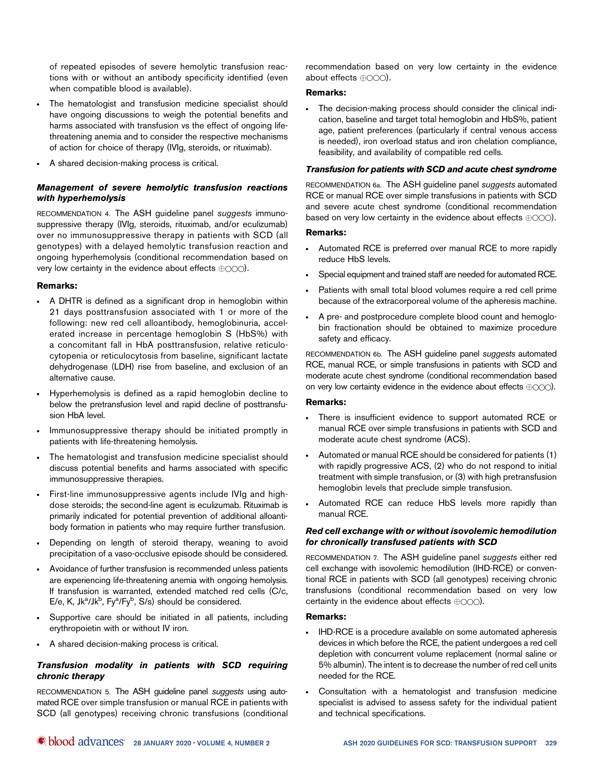of repeated episodes of severe hemolytic transfusion reactions with or without an antibody specificity identified (even when compatible blood is available).

- The hematologist and transfusion medicine specialist should have ongoing discussions to weigh the potential benefits and harms associated with transfusion vs the effect of ongoing lifethreatening anemia and to consider the respective mechanisms of action for choice of therapy (IVIg, steroids, or rituximab).
- A shared decision-making process is critical.

# Management of severe hemolytic transfusion reactions with hyperhemolysis

[RECOMMENDATION 4.](#page-12-0) The ASH guideline panel suggests immunosuppressive therapy (IVIg, steroids, rituximab, and/or eculizumab) over no immunosuppressive therapy in patients with SCD (all genotypes) with a delayed hemolytic transfusion reaction and ongoing hyperhemolysis (conditional recommendation based on very low certainty in the evidence about effects ⊕◯◯◯).

#### Remarks:

- A DHTR is defined as a significant drop in hemoglobin within 21 days posttransfusion associated with 1 or more of the following: new red cell alloantibody, hemoglobinuria, accelerated increase in percentage hemoglobin S (HbS%) with a concomitant fall in HbA posttransfusion, relative reticulocytopenia or reticulocytosis from baseline, significant lactate dehydrogenase (LDH) rise from baseline, and exclusion of an alternative cause.
- Hyperhemolysis is defined as a rapid hemoglobin decline to below the pretransfusion level and rapid decline of posttransfusion HbA level.
- Immunosuppressive therapy should be initiated promptly in patients with life-threatening hemolysis.
- The hematologist and transfusion medicine specialist should discuss potential benefits and harms associated with specific immunosuppressive therapies.
- First-line immunosuppressive agents include IVIg and highdose steroids; the second-line agent is eculizumab. Rituximab is primarily indicated for potential prevention of additional alloantibody formation in patients who may require further transfusion.
- Depending on length of steroid therapy, weaning to avoid precipitation of a vaso-occlusive episode should be considered.
- Avoidance of further transfusion is recommended unless patients are experiencing life-threatening anemia with ongoing hemolysis. If transfusion is warranted, extended matched red cells (C/c, E/e, K, Jk<sup>a</sup>/Jk<sup>b</sup>, Fy<sup>a</sup>/Fy<sup>b</sup>, S/s) should be considered.
- Supportive care should be initiated in all patients, including erythropoietin with or without IV iron.
- A shared decision-making process is critical.

# Transfusion modality in patients with SCD requiring chronic therapy

[RECOMMENDATION 5](#page-13-0). The ASH guideline panel suggests using automated RCE over simple transfusion or manual RCE in patients with SCD (all genotypes) receiving chronic transfusions (conditional

recommendation based on very low certainty in the evidence about effects  $\oplus$  ○○○

#### Remarks:

The decision-making process should consider the clinical indication, baseline and target total hemoglobin and HbS%, patient age, patient preferences (particularly if central venous access is needed), iron overload status and iron chelation compliance, feasibility, and availability of compatible red cells.

### Transfusion for patients with SCD and acute chest syndrome

[RECOMMENDATION 6a](#page-15-0). The ASH guideline panel suggests automated RCE or manual RCE over simple transfusions in patients with SCD and severe acute chest syndrome (conditional recommendation based on very low certainty in the evidence about effects ⊕○○○).

### Remarks:

- Automated RCE is preferred over manual RCE to more rapidly reduce HbS levels.
- Special equipment and trained staff are needed for automated RCE.
- Patients with small total blood volumes require a red cell prime because of the extracorporeal volume of the apheresis machine.
- A pre- and postprocedure complete blood count and hemoglobin fractionation should be obtained to maximize procedure safety and efficacy.

[RECOMMENDATION 6b.](#page-15-0) The ASH guideline panel suggests automated RCE, manual RCE, or simple transfusions in patients with SCD and moderate acute chest syndrome (conditional recommendation based on very low certainty evidence in the evidence about effects ⊕○○○).

#### Remarks:

- There is insufficient evidence to support automated RCE or manual RCE over simple transfusions in patients with SCD and moderate acute chest syndrome (ACS).
- Automated or manual RCE should be considered for patients (1) with rapidly progressive ACS, (2) who do not respond to initial treatment with simple transfusion, or (3) with high pretransfusion hemoglobin levels that preclude simple transfusion.
- Automated RCE can reduce HbS levels more rapidly than manual RCE.

### Red cell exchange with or without isovolemic hemodilution for chronically transfused patients with SCD

[RECOMMENDATION 7](#page-16-0). The ASH guideline panel suggests either red cell exchange with isovolemic hemodilution (IHD-RCE) or conventional RCE in patients with SCD (all genotypes) receiving chronic transfusions (conditional recommendation based on very low certainty in the evidence about effects ⊕◯◯◯).

#### Remarks:

- IHD-RCE is a procedure available on some automated apheresis devices in which before the RCE, the patient undergoes a red cell depletion with concurrent volume replacement (normal saline or 5% albumin). The intent is to decrease the number of red cell units needed for the RCE.
- <sup>c</sup> Consultation with a hematologist and transfusion medicine specialist is advised to assess safety for the individual patient and technical specifications.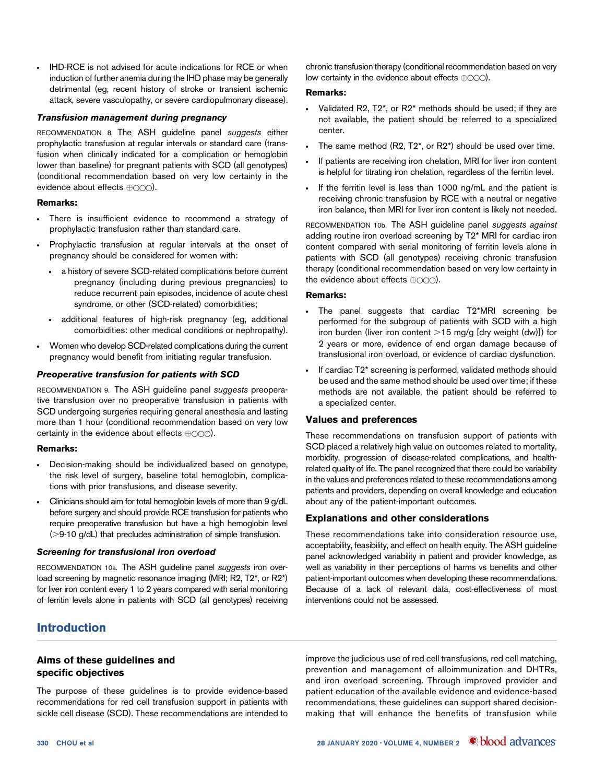IHD-RCE is not advised for acute indications for RCE or when induction of further anemia during the IHD phase may be generally detrimental (eg, recent history of stroke or transient ischemic attack, severe vasculopathy, or severe cardiopulmonary disease).

#### Transfusion management during pregnancy

[RECOMMENDATION 8](#page-17-0). The ASH guideline panel suggests either prophylactic transfusion at regular intervals or standard care (transfusion when clinically indicated for a complication or hemoglobin lower than baseline) for pregnant patients with SCD (all genotypes) (conditional recommendation based on very low certainty in the evidence about effects  $\oplus$  ◯ ◯ ).

#### Remarks:

- There is insufficient evidence to recommend a strategy of prophylactic transfusion rather than standard care.
- Prophylactic transfusion at regular intervals at the onset of pregnancy should be considered for women with:
	- a history of severe SCD-related complications before current pregnancy (including during previous pregnancies) to reduce recurrent pain episodes, incidence of acute chest syndrome, or other (SCD-related) comorbidities;
	- additional features of high-risk pregnancy (eg, additional comorbidities: other medical conditions or nephropathy).
- Women who develop SCD-related complications during the current pregnancy would benefit from initiating regular transfusion.

#### Preoperative transfusion for patients with SCD

[RECOMMENDATION 9](#page-18-0). The ASH guideline panel suggests preoperative transfusion over no preoperative transfusion in patients with SCD undergoing surgeries requiring general anesthesia and lasting more than 1 hour (conditional recommendation based on very low certainty in the evidence about effects  $\oplus$  ooo).

#### Remarks:

- Decision-making should be individualized based on genotype, the risk level of surgery, baseline total hemoglobin, complications with prior transfusions, and disease severity.
- Clinicians should aim for total hemoglobin levels of more than 9 g/dL before surgery and should provide RCE transfusion for patients who require preoperative transfusion but have a high hemoglobin level  $(>9-10 \text{ g/dL})$  that precludes administration of simple transfusion.

# Screening for transfusional iron overload

[RECOMMENDATION 10a.](#page-20-0) The ASH guideline panel suggests iron overload screening by magnetic resonance imaging (MRI; R2, T2\*, or R2\*) for liver iron content every 1 to 2 years compared with serial monitoring of ferritin levels alone in patients with SCD (all genotypes) receiving

# Introduction

# Aims of these guidelines and specific objectives

The purpose of these guidelines is to provide evidence-based recommendations for red cell transfusion support in patients with sickle cell disease (SCD). These recommendations are intended to

chronic transfusion therapy (conditional recommendation based on very low certainty in the evidence about effects  $\oplus$  ( $\odot$   $\odot$ ).

#### Remarks:

- Validated R2,  $T2^*$ , or R2\* methods should be used; if they are not available, the patient should be referred to a specialized center.
- The same method (R2, T2\*, or R2\*) should be used over time.
- If patients are receiving iron chelation, MRI for liver iron content is helpful for titrating iron chelation, regardless of the ferritin level.
- If the ferritin level is less than 1000 ng/mL and the patient is receiving chronic transfusion by RCE with a neutral or negative iron balance, then MRI for liver iron content is likely not needed.

[RECOMMENDATION 10b](#page-20-0). The ASH guideline panel suggests against adding routine iron overload screening by T2\* MRI for cardiac iron content compared with serial monitoring of ferritin levels alone in patients with SCD (all genotypes) receiving chronic transfusion therapy (conditional recommendation based on very low certainty in the evidence about effects ⊕◯◯◯).

#### Remarks:

- The panel suggests that cardiac T2\*MRI screening be performed for the subgroup of patients with SCD with a high iron burden (liver iron content  $>15$  mg/g [dry weight (dw)]) for 2 years or more, evidence of end organ damage because of transfusional iron overload, or evidence of cardiac dysfunction.
- If cardiac T2\* screening is performed, validated methods should be used and the same method should be used over time; if these methods are not available, the patient should be referred to a specialized center.

#### Values and preferences

These recommendations on transfusion support of patients with SCD placed a relatively high value on outcomes related to mortality, morbidity, progression of disease-related complications, and healthrelated quality of life. The panel recognized that there could be variability in the values and preferences related to these recommendations among patients and providers, depending on overall knowledge and education about any of the patient-important outcomes.

### Explanations and other considerations

These recommendations take into consideration resource use, acceptability, feasibility, and effect on health equity. The ASH guideline panel acknowledged variability in patient and provider knowledge, as well as variability in their perceptions of harms vs benefits and other patient-important outcomes when developing these recommendations. Because of a lack of relevant data, cost-effectiveness of most interventions could not be assessed.

improve the judicious use of red cell transfusions, red cell matching, prevention and management of alloimmunization and DHTRs, and iron overload screening. Through improved provider and patient education of the available evidence and evidence-based recommendations, these guidelines can support shared decisionmaking that will enhance the benefits of transfusion while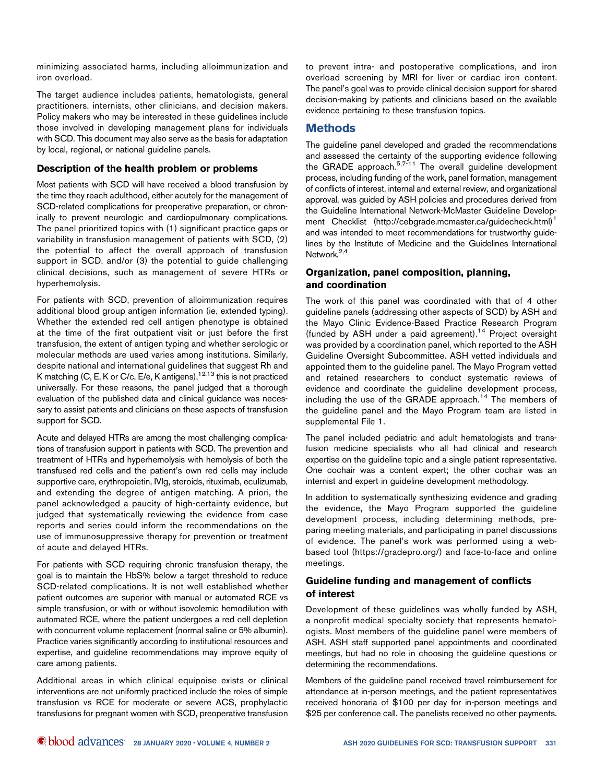minimizing associated harms, including alloimmunization and iron overload.

The target audience includes patients, hematologists, general practitioners, internists, other clinicians, and decision makers. Policy makers who may be interested in these guidelines include those involved in developing management plans for individuals with SCD. This document may also serve as the basis for adaptation by local, regional, or national guideline panels.

# Description of the health problem or problems

Most patients with SCD will have received a blood transfusion by the time they reach adulthood, either acutely for the management of SCD-related complications for preoperative preparation, or chronically to prevent neurologic and cardiopulmonary complications. The panel prioritized topics with (1) significant practice gaps or variability in transfusion management of patients with SCD, (2) the potential to affect the overall approach of transfusion support in SCD, and/or (3) the potential to guide challenging clinical decisions, such as management of severe HTRs or hyperhemolysis.

For patients with SCD, prevention of alloimmunization requires additional blood group antigen information (ie, extended typing). Whether the extended red cell antigen phenotype is obtained at the time of the first outpatient visit or just before the first transfusion, the extent of antigen typing and whether serologic or molecular methods are used varies among institutions. Similarly, despite national and international guidelines that suggest Rh and K matching (C, E, K or C/c, E/e, K antigens),<sup>12,13</sup> this is not practiced universally. For these reasons, the panel judged that a thorough evaluation of the published data and clinical guidance was necessary to assist patients and clinicians on these aspects of transfusion support for SCD.

Acute and delayed HTRs are among the most challenging complications of transfusion support in patients with SCD. The prevention and treatment of HTRs and hyperhemolysis with hemolysis of both the transfused red cells and the patient's own red cells may include supportive care, erythropoietin, IVIg, steroids, rituximab, eculizumab, and extending the degree of antigen matching. A priori, the panel acknowledged a paucity of high-certainty evidence, but judged that systematically reviewing the evidence from case reports and series could inform the recommendations on the use of immunosuppressive therapy for prevention or treatment of acute and delayed HTRs.

For patients with SCD requiring chronic transfusion therapy, the goal is to maintain the HbS% below a target threshold to reduce SCD-related complications. It is not well established whether patient outcomes are superior with manual or automated RCE vs simple transfusion, or with or without isovolemic hemodilution with automated RCE, where the patient undergoes a red cell depletion with concurrent volume replacement (normal saline or 5% albumin). Practice varies significantly according to institutional resources and expertise, and guideline recommendations may improve equity of care among patients.

Additional areas in which clinical equipoise exists or clinical interventions are not uniformly practiced include the roles of simple transfusion vs RCE for moderate or severe ACS, prophylactic transfusions for pregnant women with SCD, preoperative transfusion to prevent intra- and postoperative complications, and iron overload screening by MRI for liver or cardiac iron content. The panel's goal was to provide clinical decision support for shared decision-making by patients and clinicians based on the available evidence pertaining to these transfusion topics.

# Methods

The guideline panel developed and graded the recommendations and assessed the certainty of the supporting evidence following the GRADE approach.<sup>5,7-11</sup> The overall quideline development process, including funding of the work, panel formation, management of conflicts of interest, internal and external review, and organizational approval, was guided by ASH policies and procedures derived from the Guideline International Network-McMaster Guideline Develop-ment Checklist [\(http://cebgrade.mcmaster.ca/guidecheck.html](http://cebgrade.mcmaster.ca/guidecheck.html))<sup>1</sup> and was intended to meet recommendations for trustworthy guidelines by the Institute of Medicine and the Guidelines International Network<sup>2,4</sup>

# Organization, panel composition, planning, and coordination

The work of this panel was coordinated with that of 4 other guideline panels (addressing other aspects of SCD) by ASH and the Mayo Clinic Evidence-Based Practice Research Program (funded by ASH under a paid agreement).<sup>14</sup> Project oversight was provided by a coordination panel, which reported to the ASH Guideline Oversight Subcommittee. ASH vetted individuals and appointed them to the guideline panel. The Mayo Program vetted and retained researchers to conduct systematic reviews of evidence and coordinate the guideline development process, including the use of the GRADE approach.<sup>14</sup> The members of the guideline panel and the Mayo Program team are listed in supplemental File 1.

The panel included pediatric and adult hematologists and transfusion medicine specialists who all had clinical and research expertise on the guideline topic and a single patient representative. One cochair was a content expert; the other cochair was an internist and expert in guideline development methodology.

In addition to systematically synthesizing evidence and grading the evidence, the Mayo Program supported the guideline development process, including determining methods, preparing meeting materials, and participating in panel discussions of evidence. The panel's work was performed using a webbased tool (<https://gradepro.org/>) and face-to-face and online meetings.

# Guideline funding and management of conflicts of interest

Development of these guidelines was wholly funded by ASH, a nonprofit medical specialty society that represents hematologists. Most members of the guideline panel were members of ASH. ASH staff supported panel appointments and coordinated meetings, but had no role in choosing the guideline questions or determining the recommendations.

Members of the guideline panel received travel reimbursement for attendance at in-person meetings, and the patient representatives received honoraria of \$100 per day for in-person meetings and \$25 per conference call. The panelists received no other payments.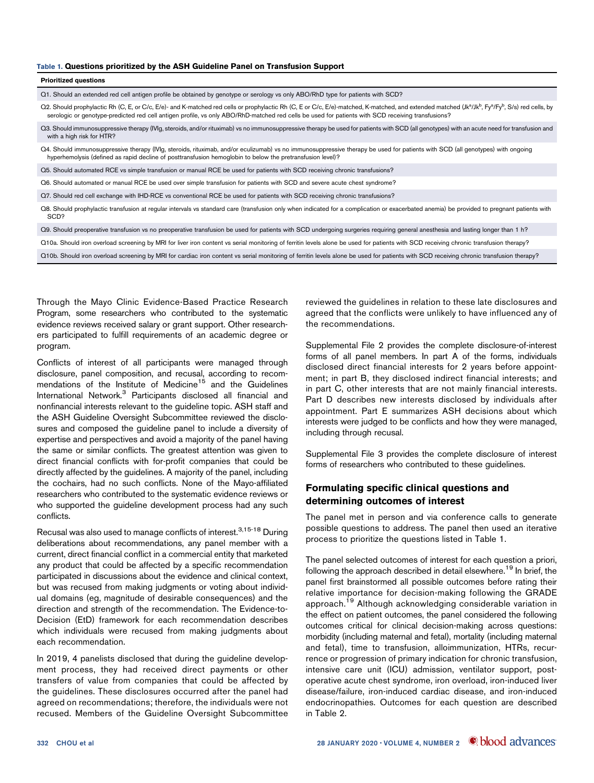#### Table 1. Questions prioritized by the ASH Guideline Panel on Transfusion Support

| <b>Prioritized questions</b> |  |
|------------------------------|--|
|------------------------------|--|

Q1. Should an extended red cell antigen profile be obtained by genotype or serology vs only ABO/RhD type for patients with SCD?

Q2. Should prophylactic Rh (C, E, or C/c, E/e)- and K-matched red cells or prophylactic Rh (C, E or C/c, E/e)-matched, K-matched, and extended matched (Jk<sup>a</sup>/Jk<sup>b</sup>, Fy<sup>a</sup>/Fy<sup>b</sup>, S/s) red cells, by serologic or genotype-predicted red cell antigen profile, vs only ABO/RhD-matched red cells be used for patients with SCD receiving transfusions?

Q3. Should immunosuppressive therapy (IVIg, steroids, and/or rituximab) vs no immunosuppressive therapy be used for patients with SCD (all genotypes) with an acute need for transfusion and with a high risk for HTR?

Q4. Should immunosuppressive therapy (IVIg, steroids, rituximab, and/or eculizumab) vs no immunosuppressive therapy be used for patients with SCD (all genotypes) with ongoing hyperhemolysis (defined as rapid decline of posttransfusion hemoglobin to below the pretransfusion level)?

Q5. Should automated RCE vs simple transfusion or manual RCE be used for patients with SCD receiving chronic transfusions?

Q6. Should automated or manual RCE be used over simple transfusion for patients with SCD and severe acute chest syndrome?

Q7. Should red cell exchange with IHD-RCE vs conventional RCE be used for patients with SCD receiving chronic transfusions?

Q8. Should prophylactic transfusion at regular intervals vs standard care (transfusion only when indicated for a complication or exacerbated anemia) be provided to pregnant patients with SC<sub>D</sub>?

Q9. Should preoperative transfusion vs no preoperative transfusion be used for patients with SCD undergoing surgeries requiring general anesthesia and lasting longer than 1 h?

Q10a. Should iron overload screening by MRI for liver iron content vs serial monitoring of ferritin levels alone be used for patients with SCD receiving chronic transfusion therapy?

Q10b. Should iron overload screening by MRI for cardiac iron content vs serial monitoring of ferritin levels alone be used for patients with SCD receiving chronic transfusion therapy?

Through the Mayo Clinic Evidence-Based Practice Research Program, some researchers who contributed to the systematic evidence reviews received salary or grant support. Other researchers participated to fulfill requirements of an academic degree or program.

Conflicts of interest of all participants were managed through disclosure, panel composition, and recusal, according to recommendations of the Institute of Medicine<sup>15</sup> and the Guidelines International Network.<sup>3</sup> Participants disclosed all financial and nonfinancial interests relevant to the guideline topic. ASH staff and the ASH Guideline Oversight Subcommittee reviewed the disclosures and composed the guideline panel to include a diversity of expertise and perspectives and avoid a majority of the panel having the same or similar conflicts. The greatest attention was given to direct financial conflicts with for-profit companies that could be directly affected by the guidelines. A majority of the panel, including the cochairs, had no such conflicts. None of the Mayo-affiliated researchers who contributed to the systematic evidence reviews or who supported the guideline development process had any such conflicts.

Recusal was also used to manage conflicts of interest.<sup>3,15-18</sup> During deliberations about recommendations, any panel member with a current, direct financial conflict in a commercial entity that marketed any product that could be affected by a specific recommendation participated in discussions about the evidence and clinical context, but was recused from making judgments or voting about individual domains (eg, magnitude of desirable consequences) and the direction and strength of the recommendation. The Evidence-to-Decision (EtD) framework for each recommendation describes which individuals were recused from making judgments about each recommendation.

In 2019, 4 panelists disclosed that during the guideline development process, they had received direct payments or other transfers of value from companies that could be affected by the guidelines. These disclosures occurred after the panel had agreed on recommendations; therefore, the individuals were not recused. Members of the Guideline Oversight Subcommittee reviewed the guidelines in relation to these late disclosures and agreed that the conflicts were unlikely to have influenced any of the recommendations.

Supplemental File 2 provides the complete disclosure-of-interest forms of all panel members. In part A of the forms, individuals disclosed direct financial interests for 2 years before appointment; in part B, they disclosed indirect financial interests; and in part C, other interests that are not mainly financial interests. Part D describes new interests disclosed by individuals after appointment. Part E summarizes ASH decisions about which interests were judged to be conflicts and how they were managed, including through recusal.

Supplemental File 3 provides the complete disclosure of interest forms of researchers who contributed to these guidelines.

# Formulating specific clinical questions and determining outcomes of interest

The panel met in person and via conference calls to generate possible questions to address. The panel then used an iterative process to prioritize the questions listed in Table 1.

The panel selected outcomes of interest for each question a priori, following the approach described in detail elsewhere.<sup>19</sup> In brief, the panel first brainstormed all possible outcomes before rating their relative importance for decision-making following the GRADE approach.<sup>19</sup> Although acknowledging considerable variation in the effect on patient outcomes, the panel considered the following outcomes critical for clinical decision-making across questions: morbidity (including maternal and fetal), mortality (including maternal and fetal), time to transfusion, alloimmunization, HTRs, recurrence or progression of primary indication for chronic transfusion, intensive care unit (ICU) admission, ventilator support, postoperative acute chest syndrome, iron overload, iron-induced liver disease/failure, iron-induced cardiac disease, and iron-induced endocrinopathies. Outcomes for each question are described in Table 2.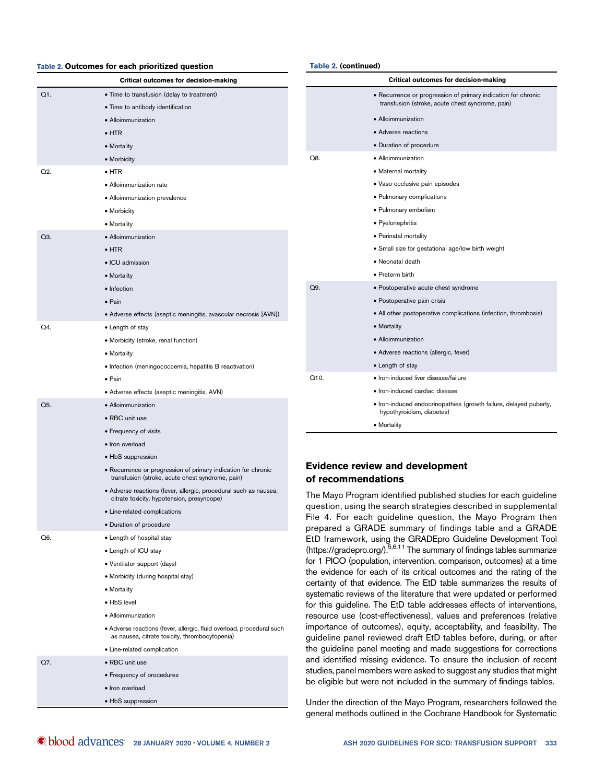#### Table 2. Outcomes for each prioritized question

|  | Table 2. (continued) |
|--|----------------------|
|--|----------------------|

|                                | -- 1--<br>Critical outcomes for decision-making                                                                   |                                                                                                                                                                                                                                                                                                                                                                                                                                                                                                                                                                                                                                     | Critical outcomes for decision-making                             |  |
|--------------------------------|-------------------------------------------------------------------------------------------------------------------|-------------------------------------------------------------------------------------------------------------------------------------------------------------------------------------------------------------------------------------------------------------------------------------------------------------------------------------------------------------------------------------------------------------------------------------------------------------------------------------------------------------------------------------------------------------------------------------------------------------------------------------|-------------------------------------------------------------------|--|
| Q1.                            | • Time to transfusion (delay to treatment)                                                                        |                                                                                                                                                                                                                                                                                                                                                                                                                                                                                                                                                                                                                                     | • Recurrence or progression of primary indication for chronic     |  |
|                                | • Time to antibody identification                                                                                 |                                                                                                                                                                                                                                                                                                                                                                                                                                                                                                                                                                                                                                     | transfusion (stroke, acute chest syndrome, pain)                  |  |
|                                | • Alloimmunization                                                                                                |                                                                                                                                                                                                                                                                                                                                                                                                                                                                                                                                                                                                                                     | • Alloimmunization                                                |  |
|                                | $\bullet$ HTR                                                                                                     |                                                                                                                                                                                                                                                                                                                                                                                                                                                                                                                                                                                                                                     | • Adverse reactions                                               |  |
|                                | • Mortality                                                                                                       |                                                                                                                                                                                                                                                                                                                                                                                                                                                                                                                                                                                                                                     | • Duration of procedure                                           |  |
|                                | • Morbidity                                                                                                       | Q8.                                                                                                                                                                                                                                                                                                                                                                                                                                                                                                                                                                                                                                 | • Alloimmunization                                                |  |
| $Q2$ .                         | $\bullet$ HTR                                                                                                     |                                                                                                                                                                                                                                                                                                                                                                                                                                                                                                                                                                                                                                     | · Maternal mortality                                              |  |
|                                | • Alloimmunization rate                                                                                           |                                                                                                                                                                                                                                                                                                                                                                                                                                                                                                                                                                                                                                     | · Vaso-occlusive pain episodes                                    |  |
|                                | • Alloimmunization prevalence                                                                                     |                                                                                                                                                                                                                                                                                                                                                                                                                                                                                                                                                                                                                                     | · Pulmonary complications                                         |  |
|                                | • Morbidity                                                                                                       |                                                                                                                                                                                                                                                                                                                                                                                                                                                                                                                                                                                                                                     | · Pulmonary embolism                                              |  |
|                                | • Mortality                                                                                                       |                                                                                                                                                                                                                                                                                                                                                                                                                                                                                                                                                                                                                                     | · Pyelonephritis                                                  |  |
| QЗ.<br>$\bullet$ HTR<br>• Pain | • Alloimmunization                                                                                                |                                                                                                                                                                                                                                                                                                                                                                                                                                                                                                                                                                                                                                     | · Perinatal mortality                                             |  |
|                                |                                                                                                                   |                                                                                                                                                                                                                                                                                                                                                                                                                                                                                                                                                                                                                                     | · Small size for gestational age/low birth weight                 |  |
|                                | • ICU admission                                                                                                   |                                                                                                                                                                                                                                                                                                                                                                                                                                                                                                                                                                                                                                     | • Neonatal death                                                  |  |
|                                | • Mortality                                                                                                       |                                                                                                                                                                                                                                                                                                                                                                                                                                                                                                                                                                                                                                     | • Preterm birth                                                   |  |
|                                | • Infection                                                                                                       | Q9.                                                                                                                                                                                                                                                                                                                                                                                                                                                                                                                                                                                                                                 | · Postoperative acute chest syndrome                              |  |
|                                |                                                                                                                   |                                                                                                                                                                                                                                                                                                                                                                                                                                                                                                                                                                                                                                     | · Postoperative pain crisis                                       |  |
|                                | • Adverse effects (aseptic meningitis, avascular necrosis [AVN])                                                  |                                                                                                                                                                                                                                                                                                                                                                                                                                                                                                                                                                                                                                     | • All other postoperative complications (infection, thrombosis)   |  |
| Q4.                            | • Length of stay                                                                                                  |                                                                                                                                                                                                                                                                                                                                                                                                                                                                                                                                                                                                                                     | • Mortality                                                       |  |
|                                | • Morbidity (stroke, renal function)                                                                              |                                                                                                                                                                                                                                                                                                                                                                                                                                                                                                                                                                                                                                     | • Alloimmunization                                                |  |
|                                | • Mortality                                                                                                       |                                                                                                                                                                                                                                                                                                                                                                                                                                                                                                                                                                                                                                     | • Adverse reactions (allergic, fever)                             |  |
|                                | • Infection (meningococcemia, hepatitis B reactivation)                                                           |                                                                                                                                                                                                                                                                                                                                                                                                                                                                                                                                                                                                                                     | • Length of stay                                                  |  |
|                                | $\bullet$ Pain                                                                                                    | Q10.                                                                                                                                                                                                                                                                                                                                                                                                                                                                                                                                                                                                                                | · Iron-induced liver disease/failure                              |  |
|                                | · Adverse effects (aseptic meningitis, AVN)                                                                       |                                                                                                                                                                                                                                                                                                                                                                                                                                                                                                                                                                                                                                     | · Iron-induced cardiac disease                                    |  |
| Q5.                            | • Alloimmunization                                                                                                |                                                                                                                                                                                                                                                                                                                                                                                                                                                                                                                                                                                                                                     | • Iron-induced endocrinopathies (growth failure, delayed puberty, |  |
|                                | • RBC unit use                                                                                                    |                                                                                                                                                                                                                                                                                                                                                                                                                                                                                                                                                                                                                                     | hypothyroidism, diabetes)                                         |  |
|                                | • Frequency of visits                                                                                             |                                                                                                                                                                                                                                                                                                                                                                                                                                                                                                                                                                                                                                     | • Mortality                                                       |  |
|                                | · Iron overload                                                                                                   |                                                                                                                                                                                                                                                                                                                                                                                                                                                                                                                                                                                                                                     |                                                                   |  |
|                                | • HbS suppression                                                                                                 | <b>Evidence review and development</b><br>of recommendations<br>The Mayo Program identified published studies for each guideline<br>question, using the search strategies described in supplemental<br>File 4. For each guideline question, the Mayo Program then<br>prepared a GRADE summary of findings table and a GRADE<br>EtD framework, using the GRADEpro Guideline Development Tool<br>(https://gradepro.org/). <sup>5,6,11</sup> The summary of findings tables summarize<br>for 1 PICO (population, intervention, comparison, outcomes) at a time<br>the evidence for each of its critical outcomes and the rating of the |                                                                   |  |
|                                | • Recurrence or progression of primary indication for chronic<br>transfusion (stroke, acute chest syndrome, pain) |                                                                                                                                                                                                                                                                                                                                                                                                                                                                                                                                                                                                                                     |                                                                   |  |
|                                | • Adverse reactions (fever, allergic, procedural such as nausea,<br>citrate toxicity, hypotension, presyncope)    |                                                                                                                                                                                                                                                                                                                                                                                                                                                                                                                                                                                                                                     |                                                                   |  |
|                                | • Line-related complications                                                                                      |                                                                                                                                                                                                                                                                                                                                                                                                                                                                                                                                                                                                                                     |                                                                   |  |
|                                | • Duration of procedure                                                                                           |                                                                                                                                                                                                                                                                                                                                                                                                                                                                                                                                                                                                                                     |                                                                   |  |
| Q6.                            | • Length of hospital stay                                                                                         |                                                                                                                                                                                                                                                                                                                                                                                                                                                                                                                                                                                                                                     |                                                                   |  |
|                                | • Length of ICU stay                                                                                              |                                                                                                                                                                                                                                                                                                                                                                                                                                                                                                                                                                                                                                     |                                                                   |  |
|                                | • Ventilator support (days)                                                                                       |                                                                                                                                                                                                                                                                                                                                                                                                                                                                                                                                                                                                                                     |                                                                   |  |
|                                | • Morbidity (during hospital stay)                                                                                |                                                                                                                                                                                                                                                                                                                                                                                                                                                                                                                                                                                                                                     |                                                                   |  |

- Mortality
- HbS level
- Alloimmunization
- Adverse reactions (fever, allergic, fluid overload, procedural such as nausea, citrate toxicity, thrombocytopenia)
- Line-related complication Q7. • RBC unit use
	- Frequency of procedures
	- Iron overload
	- HbS suppression

Under the direction of the Mayo Program, researchers followed the general methods outlined in the Cochrane Handbook for Systematic

certainty of that evidence. The EtD table summarizes the results of systematic reviews of the literature that were updated or performed for this guideline. The EtD table addresses effects of interventions, resource use (cost-effectiveness), values and preferences (relative importance of outcomes), equity, acceptability, and feasibility. The guideline panel reviewed draft EtD tables before, during, or after the guideline panel meeting and made suggestions for corrections and identified missing evidence. To ensure the inclusion of recent studies, panel members were asked to suggest any studies that might be eligible but were not included in the summary of findings tables.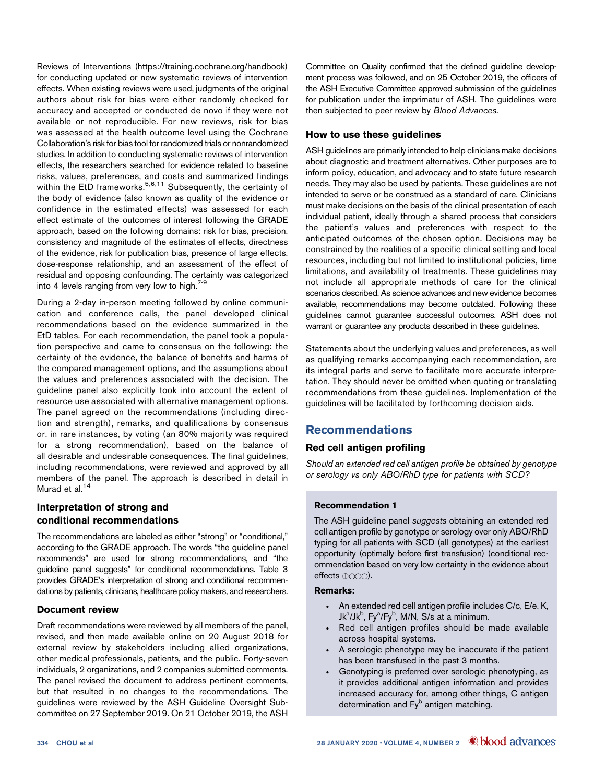<span id="page-7-0"></span>Reviews of Interventions ([https://training.cochrane.org/handbook\)](https://training.cochrane.org/handbook) for conducting updated or new systematic reviews of intervention effects. When existing reviews were used, judgments of the original authors about risk for bias were either randomly checked for accuracy and accepted or conducted de novo if they were not available or not reproducible. For new reviews, risk for bias was assessed at the health outcome level using the Cochrane Collaboration's risk for bias tool for randomized trials or nonrandomized studies. In addition to conducting systematic reviews of intervention effects, the researchers searched for evidence related to baseline risks, values, preferences, and costs and summarized findings within the EtD frameworks.<sup>5,6,11</sup> Subsequently, the certainty of the body of evidence (also known as quality of the evidence or confidence in the estimated effects) was assessed for each effect estimate of the outcomes of interest following the GRADE approach, based on the following domains: risk for bias, precision, consistency and magnitude of the estimates of effects, directness of the evidence, risk for publication bias, presence of large effects, dose-response relationship, and an assessment of the effect of residual and opposing confounding. The certainty was categorized into 4 levels ranging from very low to high. $7-9$ 

During a 2-day in-person meeting followed by online communication and conference calls, the panel developed clinical recommendations based on the evidence summarized in the EtD tables. For each recommendation, the panel took a population perspective and came to consensus on the following: the certainty of the evidence, the balance of benefits and harms of the compared management options, and the assumptions about the values and preferences associated with the decision. The guideline panel also explicitly took into account the extent of resource use associated with alternative management options. The panel agreed on the recommendations (including direction and strength), remarks, and qualifications by consensus or, in rare instances, by voting (an 80% majority was required for a strong recommendation), based on the balance of all desirable and undesirable consequences. The final guidelines, including recommendations, were reviewed and approved by all members of the panel. The approach is described in detail in Murad et al.<sup>14</sup>

# Interpretation of strong and conditional recommendations

The recommendations are labeled as either "strong" or "conditional," according to the GRADE approach. The words "the guideline panel recommends" are used for strong recommendations, and "the guideline panel suggests" for conditional recommendations. Table 3 provides GRADE's interpretation of strong and conditional recommendations by patients, clinicians, healthcare policy makers, and researchers.

# Document review

Draft recommendations were reviewed by all members of the panel, revised, and then made available online on 20 August 2018 for external review by stakeholders including allied organizations, other medical professionals, patients, and the public. Forty-seven individuals, 2 organizations, and 2 companies submitted comments. The panel revised the document to address pertinent comments, but that resulted in no changes to the recommendations. The guidelines were reviewed by the ASH Guideline Oversight Subcommittee on 27 September 2019. On 21 October 2019, the ASH Committee on Quality confirmed that the defined guideline development process was followed, and on 25 October 2019, the officers of the ASH Executive Committee approved submission of the guidelines for publication under the imprimatur of ASH. The guidelines were then subjected to peer review by Blood Advances.

# How to use these guidelines

ASH guidelines are primarily intended to help clinicians make decisions about diagnostic and treatment alternatives. Other purposes are to inform policy, education, and advocacy and to state future research needs. They may also be used by patients. These guidelines are not intended to serve or be construed as a standard of care. Clinicians must make decisions on the basis of the clinical presentation of each individual patient, ideally through a shared process that considers the patient's values and preferences with respect to the anticipated outcomes of the chosen option. Decisions may be constrained by the realities of a specific clinical setting and local resources, including but not limited to institutional policies, time limitations, and availability of treatments. These guidelines may not include all appropriate methods of care for the clinical scenarios described. As science advances and new evidence becomes available, recommendations may become outdated. Following these guidelines cannot guarantee successful outcomes. ASH does not warrant or guarantee any products described in these guidelines.

Statements about the underlying values and preferences, as well as qualifying remarks accompanying each recommendation, are its integral parts and serve to facilitate more accurate interpretation. They should never be omitted when quoting or translating recommendations from these guidelines. Implementation of the guidelines will be facilitated by forthcoming decision aids.

# Recommendations

# Red cell antigen profiling

Should an extended red cell antigen profile be obtained by genotype or serology vs only ABO/RhD type for patients with SCD?

# Recommendation 1

The ASH guideline panel suggests obtaining an extended red cell antigen profile by genotype or serology over only ABO/RhD typing for all patients with SCD (all genotypes) at the earliest opportunity (optimally before first transfusion) (conditional recommendation based on very low certainty in the evidence about effects ⊕◯◯◯).

### Remarks:

- $\bullet$  An extended red cell antigen profile includes C/c, E/e, K, Jk<sup>a</sup>/Jk<sup>b</sup>, Fy<sup>a</sup>/Fy<sup>b</sup>, M/N, S/s at a minimum.
- Red cell antigen profiles should be made available across hospital systems.
- A serologic phenotype may be inaccurate if the patient has been transfused in the past 3 months.
- Genotyping is preferred over serologic phenotyping, as it provides additional antigen information and provides increased accuracy for, among other things, C antigen determination and Fy<sup>b</sup> antigen matching.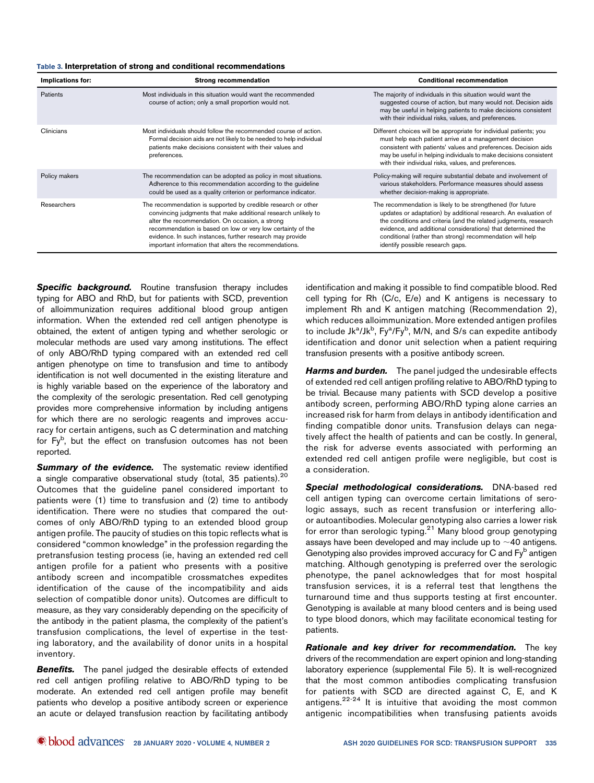| Table 3. Interpretation of strong and conditional recommendations |
|-------------------------------------------------------------------|
|-------------------------------------------------------------------|

| Implications for: | <b>Strong recommendation</b>                                                                                                                                                                                                                                                                                                                                             | <b>Conditional recommendation</b>                                                                                                                                                                                                                                                                                                                                   |
|-------------------|--------------------------------------------------------------------------------------------------------------------------------------------------------------------------------------------------------------------------------------------------------------------------------------------------------------------------------------------------------------------------|---------------------------------------------------------------------------------------------------------------------------------------------------------------------------------------------------------------------------------------------------------------------------------------------------------------------------------------------------------------------|
| Patients          | Most individuals in this situation would want the recommended<br>course of action; only a small proportion would not.                                                                                                                                                                                                                                                    | The majority of individuals in this situation would want the<br>suggested course of action, but many would not. Decision aids<br>may be useful in helping patients to make decisions consistent<br>with their individual risks, values, and preferences.                                                                                                            |
| Clinicians        | Most individuals should follow the recommended course of action.<br>Formal decision aids are not likely to be needed to help individual<br>patients make decisions consistent with their values and<br>preferences.                                                                                                                                                      | Different choices will be appropriate for individual patients; you<br>must help each patient arrive at a management decision<br>consistent with patients' values and preferences. Decision aids<br>may be useful in helping individuals to make decisions consistent<br>with their individual risks, values, and preferences.                                       |
| Policy makers     | The recommendation can be adopted as policy in most situations.<br>Adherence to this recommendation according to the guideline<br>could be used as a quality criterion or performance indicator.                                                                                                                                                                         | Policy-making will require substantial debate and involvement of<br>various stakeholders. Performance measures should assess<br>whether decision-making is appropriate.                                                                                                                                                                                             |
| Researchers       | The recommendation is supported by credible research or other<br>convincing judgments that make additional research unlikely to<br>alter the recommendation. On occasion, a strong<br>recommendation is based on low or very low certainty of the<br>evidence. In such instances, further research may provide<br>important information that alters the recommendations. | The recommendation is likely to be strengthened (for future<br>updates or adaptation) by additional research. An evaluation of<br>the conditions and criteria (and the related judgments, research<br>evidence, and additional considerations) that determined the<br>conditional (rather than strong) recommendation will help<br>identify possible research gaps. |

Specific background. Routine transfusion therapy includes typing for ABO and RhD, but for patients with SCD, prevention of alloimmunization requires additional blood group antigen information. When the extended red cell antigen phenotype is obtained, the extent of antigen typing and whether serologic or molecular methods are used vary among institutions. The effect of only ABO/RhD typing compared with an extended red cell antigen phenotype on time to transfusion and time to antibody identification is not well documented in the existing literature and is highly variable based on the experience of the laboratory and the complexity of the serologic presentation. Red cell genotyping provides more comprehensive information by including antigens for which there are no serologic reagents and improves accuracy for certain antigens, such as C determination and matching for Fy<sup>b</sup>, but the effect on transfusion outcomes has not been reported.

Summary of the evidence. The systematic review identified a single comparative observational study (total, 35 patients).<sup>20</sup> Outcomes that the guideline panel considered important to patients were (1) time to transfusion and (2) time to antibody identification. There were no studies that compared the outcomes of only ABO/RhD typing to an extended blood group antigen profile. The paucity of studies on this topic reflects what is considered "common knowledge" in the profession regarding the pretransfusion testing process (ie, having an extended red cell antigen profile for a patient who presents with a positive antibody screen and incompatible crossmatches expedites identification of the cause of the incompatibility and aids selection of compatible donor units). Outcomes are difficult to measure, as they vary considerably depending on the specificity of the antibody in the patient plasma, the complexity of the patient's transfusion complications, the level of expertise in the testing laboratory, and the availability of donor units in a hospital inventory.

**Benefits.** The panel judged the desirable effects of extended red cell antigen profiling relative to ABO/RhD typing to be moderate. An extended red cell antigen profile may benefit patients who develop a positive antibody screen or experience an acute or delayed transfusion reaction by facilitating antibody identification and making it possible to find compatible blood. Red cell typing for Rh (C/c, E/e) and K antigens is necessary to implement Rh and K antigen matching (Recommendation 2), which reduces alloimmunization. More extended antigen profiles to include Jk<sup>a</sup>/Jk<sup>b</sup>, Fy<sup>a</sup>/Fy<sup>b</sup>, M/N, and S/s can expedite antibody identification and donor unit selection when a patient requiring transfusion presents with a positive antibody screen.

Harms and burden. The panel judged the undesirable effects of extended red cell antigen profiling relative to ABO/RhD typing to be trivial. Because many patients with SCD develop a positive antibody screen, performing ABO/RhD typing alone carries an increased risk for harm from delays in antibody identification and finding compatible donor units. Transfusion delays can negatively affect the health of patients and can be costly. In general, the risk for adverse events associated with performing an extended red cell antigen profile were negligible, but cost is a consideration.

Special methodological considerations. DNA-based red cell antigen typing can overcome certain limitations of serologic assays, such as recent transfusion or interfering alloor autoantibodies. Molecular genotyping also carries a lower risk for error than serologic typing. $21$  Many blood group genotyping assays have been developed and may include up to  $\sim$ 40 antigens. Genotyping also provides improved accuracy for  $C$  and  $Fy^b$  antigen matching. Although genotyping is preferred over the serologic phenotype, the panel acknowledges that for most hospital transfusion services, it is a referral test that lengthens the turnaround time and thus supports testing at first encounter. Genotyping is available at many blood centers and is being used to type blood donors, which may facilitate economical testing for patients.

Rationale and key driver for recommendation. The key drivers of the recommendation are expert opinion and long-standing laboratory experience (supplemental File 5). It is well-recognized that the most common antibodies complicating transfusion for patients with SCD are directed against C, E, and K antigens.22-24 It is intuitive that avoiding the most common antigenic incompatibilities when transfusing patients avoids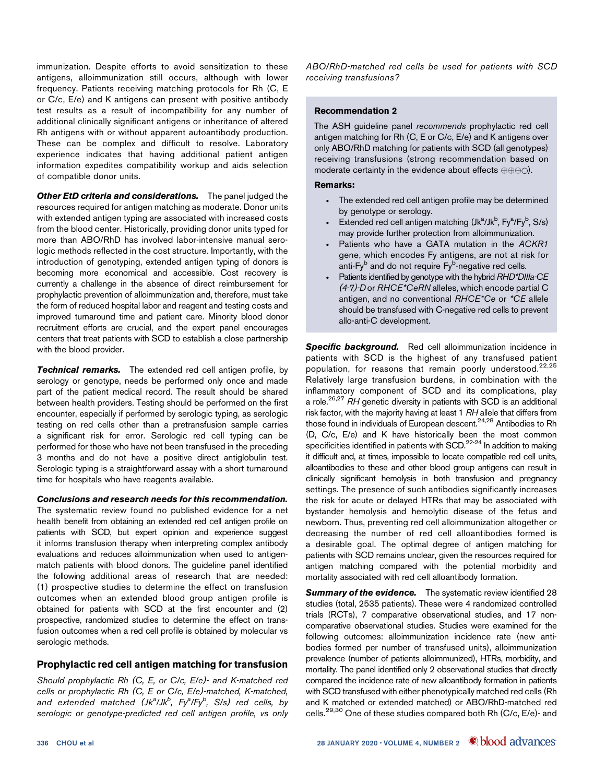<span id="page-9-0"></span>immunization. Despite efforts to avoid sensitization to these antigens, alloimmunization still occurs, although with lower frequency. Patients receiving matching protocols for Rh (C, E or C/c, E/e) and K antigens can present with positive antibody test results as a result of incompatibility for any number of additional clinically significant antigens or inheritance of altered Rh antigens with or without apparent autoantibody production. These can be complex and difficult to resolve. Laboratory experience indicates that having additional patient antigen information expedites compatibility workup and aids selection of compatible donor units.

Other EtD criteria and considerations. The panel judged the resources required for antigen matching as moderate. Donor units with extended antigen typing are associated with increased costs from the blood center. Historically, providing donor units typed for more than ABO/RhD has involved labor-intensive manual serologic methods reflected in the cost structure. Importantly, with the introduction of genotyping, extended antigen typing of donors is becoming more economical and accessible. Cost recovery is currently a challenge in the absence of direct reimbursement for prophylactic prevention of alloimmunization and, therefore, must take the form of reduced hospital labor and reagent and testing costs and improved turnaround time and patient care. Minority blood donor recruitment efforts are crucial, and the expert panel encourages centers that treat patients with SCD to establish a close partnership with the blood provider.

Technical remarks. The extended red cell antigen profile, by serology or genotype, needs be performed only once and made part of the patient medical record. The result should be shared between health providers. Testing should be performed on the first encounter, especially if performed by serologic typing, as serologic testing on red cells other than a pretransfusion sample carries a significant risk for error. Serologic red cell typing can be performed for those who have not been transfused in the preceding 3 months and do not have a positive direct antiglobulin test. Serologic typing is a straightforward assay with a short turnaround time for hospitals who have reagents available.

#### Conclusions and research needs for this recommendation.

The systematic review found no published evidence for a net health benefit from obtaining an extended red cell antigen profile on patients with SCD, but expert opinion and experience suggest it informs transfusion therapy when interpreting complex antibody evaluations and reduces alloimmunization when used to antigenmatch patients with blood donors. The guideline panel identified the following additional areas of research that are needed: (1) prospective studies to determine the effect on transfusion outcomes when an extended blood group antigen profile is obtained for patients with SCD at the first encounter and (2) prospective, randomized studies to determine the effect on transfusion outcomes when a red cell profile is obtained by molecular vs serologic methods.

### Prophylactic red cell antigen matching for transfusion

Should prophylactic Rh (C, E, or C/c, E/e)- and K-matched red cells or prophylactic Rh (C, E or C/c, E/e)-matched, K-matched, and extended matched (Jk<sup>a</sup>/Jk<sup>b</sup>, Fy<sup>a</sup>/Fy<sup>b</sup>, S/s) red cells, by serologic or genotype-predicted red cell antigen profile, vs only

ABO/RhD-matched red cells be used for patients with SCD receiving transfusions?

### Recommendation 2

The ASH guideline panel recommends prophylactic red cell antigen matching for Rh (C, E or C/c, E/e) and K antigens over only ABO/RhD matching for patients with SCD (all genotypes) receiving transfusions (strong recommendation based on moderate certainty in the evidence about effects ⊕⊕⊕○).

#### Remarks:

- The extended red cell antigen profile may be determined by genotype or serology.
- Extended red cell antigen matching  $(Jk^a/Jk^b, Fy^a/Fy^b, S/s)$ may provide further protection from alloimmunization.
- Patients who have a GATA mutation in the ACKR1 gene, which encodes Fy antigens, are not at risk for anti-Fy<sup>b</sup> and do not require Fy<sup>b</sup>-negative red cells.
- Patients identified by genotype with the hybrid RHD\*DIIIa-CE (4-7)-D or RHCE\*CeRN alleles, which encode partial C antigen, and no conventional RHCE\*Ce or \*CE allele should be transfused with C-negative red cells to prevent allo-anti-C development.

Specific background. Red cell alloimmunization incidence in patients with SCD is the highest of any transfused patient population, for reasons that remain poorly understood. $22,25$ Relatively large transfusion burdens, in combination with the inflammatory component of SCD and its complications, play a role.26,27 RH genetic diversity in patients with SCD is an additional risk factor, with the majority having at least 1 RH allele that differs from those found in individuals of European descent.24,28 Antibodies to Rh (D, C/c, E/e) and K have historically been the most common specificities identified in patients with SCD.<sup>22-24</sup> In addition to making it difficult and, at times, impossible to locate compatible red cell units, alloantibodies to these and other blood group antigens can result in clinically significant hemolysis in both transfusion and pregnancy settings. The presence of such antibodies significantly increases the risk for acute or delayed HTRs that may be associated with bystander hemolysis and hemolytic disease of the fetus and newborn. Thus, preventing red cell alloimmunization altogether or decreasing the number of red cell alloantibodies formed is a desirable goal. The optimal degree of antigen matching for patients with SCD remains unclear, given the resources required for antigen matching compared with the potential morbidity and mortality associated with red cell alloantibody formation.

**Summary of the evidence.** The systematic review identified 28 studies (total, 2535 patients). These were 4 randomized controlled trials (RCTs), 7 comparative observational studies, and 17 noncomparative observational studies. Studies were examined for the following outcomes: alloimmunization incidence rate (new antibodies formed per number of transfused units), alloimmunization prevalence (number of patients alloimmunized), HTRs, morbidity, and mortality. The panel identified only 2 observational studies that directly compared the incidence rate of new alloantibody formation in patients with SCD transfused with either phenotypically matched red cells (Rh and K matched or extended matched) or ABO/RhD-matched red cells.29,30 One of these studies compared both Rh (C/c, E/e)- and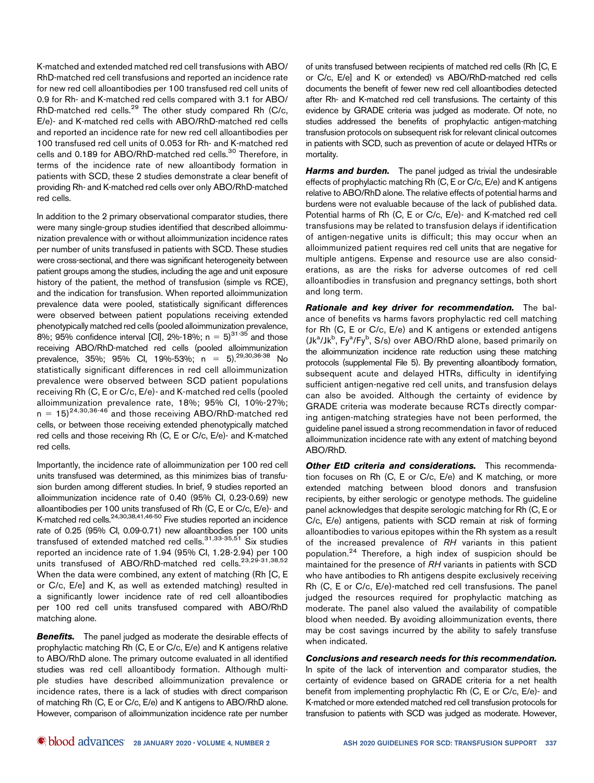K-matched and extended matched red cell transfusions with ABO/ RhD-matched red cell transfusions and reported an incidence rate for new red cell alloantibodies per 100 transfused red cell units of 0.9 for Rh- and K-matched red cells compared with 3.1 for ABO/ RhD-matched red cells.<sup>29</sup> The other study compared Rh (C/c, E/e)- and K-matched red cells with ABO/RhD-matched red cells and reported an incidence rate for new red cell alloantibodies per 100 transfused red cell units of 0.053 for Rh- and K-matched red cells and 0.189 for ABO/RhD-matched red cells.<sup>30</sup> Therefore, in terms of the incidence rate of new alloantibody formation in patients with SCD, these 2 studies demonstrate a clear benefit of providing Rh- and K-matched red cells over only ABO/RhD-matched red cells.

In addition to the 2 primary observational comparator studies, there were many single-group studies identified that described alloimmunization prevalence with or without alloimmunization incidence rates per number of units transfused in patients with SCD. These studies were cross-sectional, and there was significant heterogeneity between patient groups among the studies, including the age and unit exposure history of the patient, the method of transfusion (simple vs RCE), and the indication for transfusion. When reported alloimmunization prevalence data were pooled, statistically significant differences were observed between patient populations receiving extended phenotypically matched red cells (pooled alloimmunization prevalence, 8%; 95% confidence interval [CI], 2%-18%;  $n = 5$ )<sup>31-35</sup> and those receiving ABO/RhD-matched red cells (pooled alloimmunization prevalence, 35%; 95% Cl, 19%-53%; n = 5).<sup>29,30,36-38</sup> No statistically significant differences in red cell alloimmunization prevalence were observed between SCD patient populations receiving Rh (C, E or C/c, E/e)- and K-matched red cells (pooled alloimmunization prevalence rate, 18%; 95% CI, 10%-27%;  $n = 15)^{24,30,36\cdot46}$  and those receiving ABO/RhD-matched red cells, or between those receiving extended phenotypically matched red cells and those receiving Rh (C, E or C/c, E/e)- and K-matched red cells.

Importantly, the incidence rate of alloimmunization per 100 red cell units transfused was determined, as this minimizes bias of transfusion burden among different studies. In brief, 9 studies reported an alloimmunization incidence rate of 0.40 (95% CI, 0.23-0.69) new alloantibodies per 100 units transfused of Rh (C, E or C/c, E/e)- and K-matched red cells.<sup>24,30,38,41,46-50</sup> Five studies reported an incidence rate of 0.25 (95% CI, 0.09-0.71) new alloantibodies per 100 units transfused of extended matched red cells. $31,33\cdot35,51$  Six studies reported an incidence rate of 1.94 (95% CI, 1.28-2.94) per 100 units transfused of ABO/RhD-matched red cells.<sup>23,29-31,38,52</sup> When the data were combined, any extent of matching (Rh [C, E or C/c, E/e] and K, as well as extended matching) resulted in a significantly lower incidence rate of red cell alloantibodies per 100 red cell units transfused compared with ABO/RhD matching alone.

**Benefits.** The panel judged as moderate the desirable effects of prophylactic matching Rh (C, E or C/c, E/e) and K antigens relative to ABO/RhD alone. The primary outcome evaluated in all identified studies was red cell alloantibody formation. Although multiple studies have described alloimmunization prevalence or incidence rates, there is a lack of studies with direct comparison of matching Rh (C, E or C/c, E/e) and K antigens to ABO/RhD alone. However, comparison of alloimmunization incidence rate per number

of units transfused between recipients of matched red cells (Rh [C, E or C/c, E/e] and K or extended) vs ABO/RhD-matched red cells documents the benefit of fewer new red cell alloantibodies detected after Rh- and K-matched red cell transfusions. The certainty of this evidence by GRADE criteria was judged as moderate. Of note, no studies addressed the benefits of prophylactic antigen-matching transfusion protocols on subsequent risk for relevant clinical outcomes in patients with SCD, such as prevention of acute or delayed HTRs or mortality.

Harms and burden. The panel judged as trivial the undesirable effects of prophylactic matching Rh (C, E or C/c, E/e) and K antigens relative to ABO/RhD alone. The relative effects of potential harms and burdens were not evaluable because of the lack of published data. Potential harms of Rh (C, E or C/c, E/e)- and K-matched red cell transfusions may be related to transfusion delays if identification of antigen-negative units is difficult; this may occur when an alloimmunized patient requires red cell units that are negative for multiple antigens. Expense and resource use are also considerations, as are the risks for adverse outcomes of red cell alloantibodies in transfusion and pregnancy settings, both short and long term.

Rationale and key driver for recommendation. The balance of benefits vs harms favors prophylactic red cell matching for Rh (C, E or C/c, E/e) and K antigens or extended antigens (Jk<sup>a</sup>/Jk<sup>b</sup>, Fy<sup>a</sup>/Fy<sup>b</sup>, S/s) over ABO/RhD alone, based primarily on the alloimmunization incidence rate reduction using these matching protocols (supplemental File 5). By preventing alloantibody formation, subsequent acute and delayed HTRs, difficulty in identifying sufficient antigen-negative red cell units, and transfusion delays can also be avoided. Although the certainty of evidence by GRADE criteria was moderate because RCTs directly comparing antigen-matching strategies have not been performed, the guideline panel issued a strong recommendation in favor of reduced alloimmunization incidence rate with any extent of matching beyond ABO/RhD.

Other EtD criteria and considerations. This recommendation focuses on Rh (C, E or C/c, E/e) and K matching, or more extended matching between blood donors and transfusion recipients, by either serologic or genotype methods. The guideline panel acknowledges that despite serologic matching for Rh (C, E or C/c, E/e) antigens, patients with SCD remain at risk of forming alloantibodies to various epitopes within the Rh system as a result of the increased prevalence of RH variants in this patient population.<sup>24</sup> Therefore, a high index of suspicion should be maintained for the presence of RH variants in patients with SCD who have antibodies to Rh antigens despite exclusively receiving Rh (C, E or C/c, E/e)-matched red cell transfusions. The panel judged the resources required for prophylactic matching as moderate. The panel also valued the availability of compatible blood when needed. By avoiding alloimmunization events, there may be cost savings incurred by the ability to safely transfuse when indicated.

#### Conclusions and research needs for this recommendation.

In spite of the lack of intervention and comparator studies, the certainty of evidence based on GRADE criteria for a net health benefit from implementing prophylactic Rh (C, E or C/c, E/e)- and K-matched or more extended matched red cell transfusion protocols for transfusion to patients with SCD was judged as moderate. However,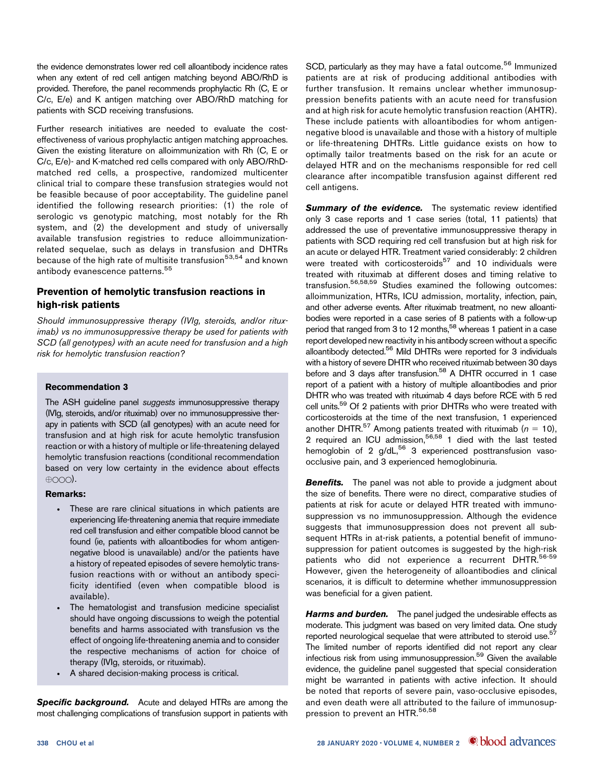<span id="page-11-0"></span>the evidence demonstrates lower red cell alloantibody incidence rates when any extent of red cell antigen matching beyond ABO/RhD is provided. Therefore, the panel recommends prophylactic Rh (C, E or C/c, E/e) and K antigen matching over ABO/RhD matching for patients with SCD receiving transfusions.

Further research initiatives are needed to evaluate the costeffectiveness of various prophylactic antigen matching approaches. Given the existing literature on alloimmunization with Rh (C, E or C/c, E/e)- and K-matched red cells compared with only ABO/RhDmatched red cells, a prospective, randomized multicenter clinical trial to compare these transfusion strategies would not be feasible because of poor acceptability. The guideline panel identified the following research priorities: (1) the role of serologic vs genotypic matching, most notably for the Rh system, and (2) the development and study of universally available transfusion registries to reduce alloimmunizationrelated sequelae, such as delays in transfusion and DHTRs because of the high rate of multisite transfusion<sup>53,54</sup> and known antibody evanescence patterns.<sup>55</sup>

# Prevention of hemolytic transfusion reactions in high-risk patients

Should immunosuppressive therapy (IVIg, steroids, and/or rituximab) vs no immunosuppressive therapy be used for patients with SCD (all genotypes) with an acute need for transfusion and a high risk for hemolytic transfusion reaction?

### Recommendation 3

The ASH guideline panel suggests immunosuppressive therapy (IVIg, steroids, and/or rituximab) over no immunosuppressive therapy in patients with SCD (all genotypes) with an acute need for transfusion and at high risk for acute hemolytic transfusion reaction or with a history of multiple or life-threatening delayed hemolytic transfusion reactions (conditional recommendation based on very low certainty in the evidence about effects  $\oplus$ OOO).

#### Remarks:

- These are rare clinical situations in which patients are experiencing life-threatening anemia that require immediate red cell transfusion and either compatible blood cannot be found (ie, patients with alloantibodies for whom antigennegative blood is unavailable) and/or the patients have a history of repeated episodes of severe hemolytic transfusion reactions with or without an antibody specificity identified (even when compatible blood is available).
- The hematologist and transfusion medicine specialist should have ongoing discussions to weigh the potential benefits and harms associated with transfusion vs the effect of ongoing life-threatening anemia and to consider the respective mechanisms of action for choice of therapy (IVIg, steroids, or rituximab).
- A shared decision-making process is critical.

Specific background. Acute and delayed HTRs are among the most challenging complications of transfusion support in patients with SCD, particularly as they may have a fatal outcome.<sup>56</sup> Immunized patients are at risk of producing additional antibodies with further transfusion. It remains unclear whether immunosuppression benefits patients with an acute need for transfusion and at high risk for acute hemolytic transfusion reaction (AHTR). These include patients with alloantibodies for whom antigennegative blood is unavailable and those with a history of multiple or life-threatening DHTRs. Little guidance exists on how to optimally tailor treatments based on the risk for an acute or delayed HTR and on the mechanisms responsible for red cell clearance after incompatible transfusion against different red cell antigens.

**Summary of the evidence.** The systematic review identified only 3 case reports and 1 case series (total, 11 patients) that addressed the use of preventative immunosuppressive therapy in patients with SCD requiring red cell transfusion but at high risk for an acute or delayed HTR. Treatment varied considerably: 2 children were treated with corticosteroids<sup>57</sup> and 10 individuals were treated with rituximab at different doses and timing relative to transfusion.56,58,59 Studies examined the following outcomes: alloimmunization, HTRs, ICU admission, mortality, infection, pain, and other adverse events. After rituximab treatment, no new alloantibodies were reported in a case series of 8 patients with a follow-up period that ranged from 3 to 12 months,<sup>58</sup> whereas 1 patient in a case report developed new reactivity in his antibody screen without a specific alloantibody detected.56 Mild DHTRs were reported for 3 individuals with a history of severe DHTR who received rituximab between 30 days before and 3 days after transfusion.58 A DHTR occurred in 1 case report of a patient with a history of multiple alloantibodies and prior DHTR who was treated with rituximab 4 days before RCE with 5 red cell units.59 Of 2 patients with prior DHTRs who were treated with corticosteroids at the time of the next transfusion, 1 experienced another DHTR.<sup>57</sup> Among patients treated with rituximab  $(n = 10)$ , 2 required an ICU admission,  $56,58$  1 died with the last tested hemoglobin of 2  $g/dL$ ,<sup>56</sup> 3 experienced posttransfusion vasoocclusive pain, and 3 experienced hemoglobinuria.

**Benefits.** The panel was not able to provide a judgment about the size of benefits. There were no direct, comparative studies of patients at risk for acute or delayed HTR treated with immunosuppression vs no immunosuppression. Although the evidence suggests that immunosuppression does not prevent all subsequent HTRs in at-risk patients, a potential benefit of immunosuppression for patient outcomes is suggested by the high-risk patients who did not experience a recurrent DHTR.<sup>56-59</sup> However, given the heterogeneity of alloantibodies and clinical scenarios, it is difficult to determine whether immunosuppression was beneficial for a given patient.

Harms and burden. The panel judged the undesirable effects as moderate. This judgment was based on very limited data. One study reported neurological sequelae that were attributed to steroid use.<sup>57</sup> The limited number of reports identified did not report any clear infectious risk from using immunosuppression.59 Given the available evidence, the guideline panel suggested that special consideration might be warranted in patients with active infection. It should be noted that reports of severe pain, vaso-occlusive episodes, and even death were all attributed to the failure of immunosuppression to prevent an HTR.<sup>56,58</sup>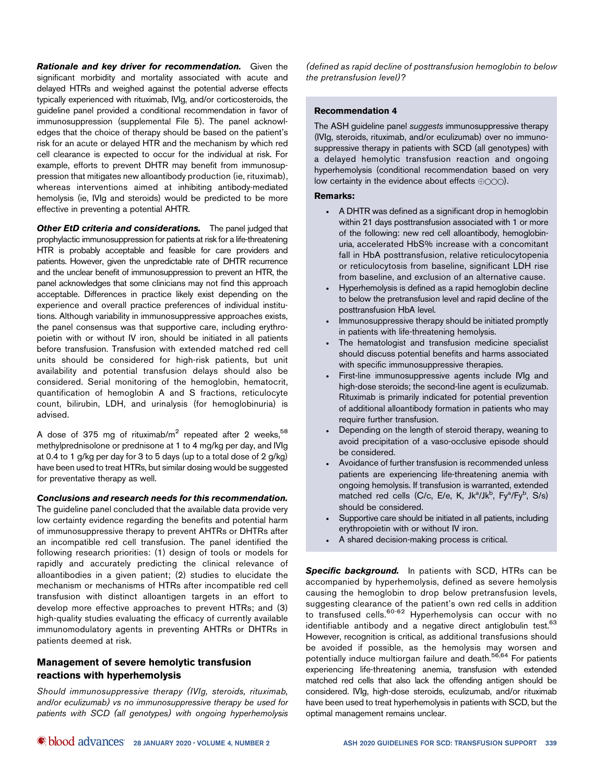<span id="page-12-0"></span>Rationale and key driver for recommendation. Given the significant morbidity and mortality associated with acute and delayed HTRs and weighed against the potential adverse effects typically experienced with rituximab, IVIg, and/or corticosteroids, the guideline panel provided a conditional recommendation in favor of immunosuppression (supplemental File 5). The panel acknowledges that the choice of therapy should be based on the patient's risk for an acute or delayed HTR and the mechanism by which red cell clearance is expected to occur for the individual at risk. For example, efforts to prevent DHTR may benefit from immunosuppression that mitigates new alloantibody production (ie, rituximab), whereas interventions aimed at inhibiting antibody-mediated hemolysis (ie, IVIg and steroids) would be predicted to be more effective in preventing a potential AHTR.

Other EtD criteria and considerations. The panel judged that prophylactic immunosuppression for patients at risk for a life-threatening HTR is probably acceptable and feasible for care providers and patients. However, given the unpredictable rate of DHTR recurrence and the unclear benefit of immunosuppression to prevent an HTR, the panel acknowledges that some clinicians may not find this approach acceptable. Differences in practice likely exist depending on the experience and overall practice preferences of individual institutions. Although variability in immunosuppressive approaches exists, the panel consensus was that supportive care, including erythropoietin with or without IV iron, should be initiated in all patients before transfusion. Transfusion with extended matched red cell units should be considered for high-risk patients, but unit availability and potential transfusion delays should also be considered. Serial monitoring of the hemoglobin, hematocrit, quantification of hemoglobin A and S fractions, reticulocyte count, bilirubin, LDH, and urinalysis (for hemoglobinuria) is advised.

A dose of 375 mg of rituximab/m<sup>2</sup> repeated after 2 weeks,  $58$ methylprednisolone or prednisone at 1 to 4 mg/kg per day, and IVIg at 0.4 to 1 g/kg per day for 3 to 5 days (up to a total dose of 2 g/kg) have been used to treat HTRs, but similar dosing would be suggested for preventative therapy as well.

#### Conclusions and research needs for this recommendation.

The quideline panel concluded that the available data provide very low certainty evidence regarding the benefits and potential harm of immunosuppressive therapy to prevent AHTRs or DHTRs after an incompatible red cell transfusion. The panel identified the following research priorities: (1) design of tools or models for rapidly and accurately predicting the clinical relevance of alloantibodies in a given patient; (2) studies to elucidate the mechanism or mechanisms of HTRs after incompatible red cell transfusion with distinct alloantigen targets in an effort to develop more effective approaches to prevent HTRs; and (3) high-quality studies evaluating the efficacy of currently available immunomodulatory agents in preventing AHTRs or DHTRs in patients deemed at risk.

# Management of severe hemolytic transfusion reactions with hyperhemolysis

Should immunosuppressive therapy (IVIg, steroids, rituximab, and/or eculizumab) vs no immunosuppressive therapy be used for patients with SCD (all genotypes) with ongoing hyperhemolysis (defined as rapid decline of posttransfusion hemoglobin to below the pretransfusion level)?

### Recommendation 4

The ASH guideline panel suggests immunosuppressive therapy (IVIg, steroids, rituximab, and/or eculizumab) over no immunosuppressive therapy in patients with SCD (all genotypes) with a delayed hemolytic transfusion reaction and ongoing hyperhemolysis (conditional recommendation based on very low certainty in the evidence about effects ⊕○○○).

### Remarks:

- A DHTR was defined as a significant drop in hemoglobin within 21 days posttransfusion associated with 1 or more of the following: new red cell alloantibody, hemoglobinuria, accelerated HbS% increase with a concomitant fall in HbA posttransfusion, relative reticulocytopenia or reticulocytosis from baseline, significant LDH rise from baseline, and exclusion of an alternative cause.
- Hyperhemolysis is defined as a rapid hemoglobin decline to below the pretransfusion level and rapid decline of the posttransfusion HbA level.
- Immunosuppressive therapy should be initiated promptly in patients with life-threatening hemolysis.
- The hematologist and transfusion medicine specialist should discuss potential benefits and harms associated with specific immunosuppressive therapies.
- First-line immunosuppressive agents include IVIg and high-dose steroids; the second-line agent is eculizumab. Rituximab is primarily indicated for potential prevention of additional alloantibody formation in patients who may require further transfusion.
- Depending on the length of steroid therapy, weaning to avoid precipitation of a vaso-occlusive episode should be considered.
- Avoidance of further transfusion is recommended unless patients are experiencing life-threatening anemia with ongoing hemolysis. If transfusion is warranted, extended matched red cells (C/c, E/e, K, Jk<sup>a</sup>/Jk<sup>b</sup>, Fy<sup>a</sup>/Fy<sup>b</sup>, S/s) should be considered.
- Supportive care should be initiated in all patients, including erythropoietin with or without IV iron.
- A shared decision-making process is critical.

Specific background. In patients with SCD, HTRs can be accompanied by hyperhemolysis, defined as severe hemolysis causing the hemoglobin to drop below pretransfusion levels, suggesting clearance of the patient's own red cells in addition to transfused cells.60-62 Hyperhemolysis can occur with no identifiable antibody and a negative direct antiglobulin test.<sup>63</sup> However, recognition is critical, as additional transfusions should be avoided if possible, as the hemolysis may worsen and potentially induce multiorgan failure and death.<sup>56,64</sup> For patients experiencing life-threatening anemia, transfusion with extended matched red cells that also lack the offending antigen should be considered. IVIg, high-dose steroids, eculizumab, and/or rituximab have been used to treat hyperhemolysis in patients with SCD, but the optimal management remains unclear.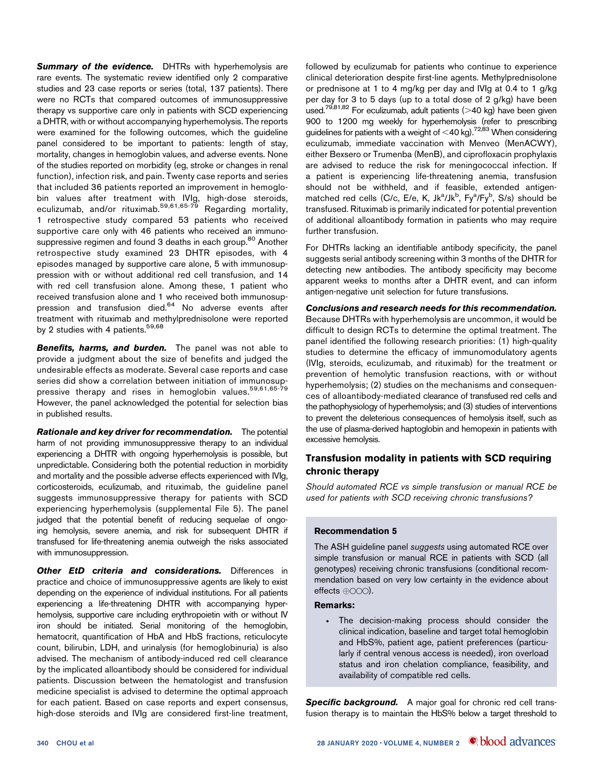<span id="page-13-0"></span>**Summary of the evidence.** DHTRs with hyperhemolysis are rare events. The systematic review identified only 2 comparative studies and 23 case reports or series (total, 137 patients). There were no RCTs that compared outcomes of immunosuppressive therapy vs supportive care only in patients with SCD experiencing a DHTR, with or without accompanying hyperhemolysis. The reports were examined for the following outcomes, which the guideline panel considered to be important to patients: length of stay, mortality, changes in hemoglobin values, and adverse events. None of the studies reported on morbidity (eg, stroke or changes in renal function), infection risk, and pain. Twenty case reports and series that included 36 patients reported an improvement in hemoglobin values after treatment with IVIg, high-dose steroids, eculizumab, and/or rituximab.<sup>59,61,65-79</sup> Regarding mortality, 1 retrospective study compared 53 patients who received supportive care only with 46 patients who received an immunosuppressive regimen and found 3 deaths in each group.<sup>80</sup> Another retrospective study examined 23 DHTR episodes, with 4 episodes managed by supportive care alone, 5 with immunosuppression with or without additional red cell transfusion, and 14 with red cell transfusion alone. Among these, 1 patient who received transfusion alone and 1 who received both immunosuppression and transfusion died.<sup>64</sup> No adverse events after treatment with rituximab and methylprednisolone were reported by 2 studies with 4 patients.<sup>59,68</sup>

Benefits, harms, and burden. The panel was not able to provide a judgment about the size of benefits and judged the undesirable effects as moderate. Several case reports and case series did show a correlation between initiation of immunosuppressive therapy and rises in hemoglobin values.<sup>59,61,65-79</sup> However, the panel acknowledged the potential for selection bias in published results.

Rationale and key driver for recommendation. The potential harm of not providing immunosuppressive therapy to an individual experiencing a DHTR with ongoing hyperhemolysis is possible, but unpredictable. Considering both the potential reduction in morbidity and mortality and the possible adverse effects experienced with IVIg, corticosteroids, eculizumab, and rituximab, the guideline panel suggests immunosuppressive therapy for patients with SCD experiencing hyperhemolysis (supplemental File 5). The panel judged that the potential benefit of reducing sequelae of ongoing hemolysis, severe anemia, and risk for subsequent DHTR if transfused for life-threatening anemia outweigh the risks associated with immunosuppression.

Other EtD criteria and considerations. Differences in practice and choice of immunosuppressive agents are likely to exist depending on the experience of individual institutions. For all patients experiencing a life-threatening DHTR with accompanying hyperhemolysis, supportive care including erythropoietin with or without IV iron should be initiated. Serial monitoring of the hemoglobin, hematocrit, quantification of HbA and HbS fractions, reticulocyte count, bilirubin, LDH, and urinalysis (for hemoglobinuria) is also advised. The mechanism of antibody-induced red cell clearance by the implicated alloantibody should be considered for individual patients. Discussion between the hematologist and transfusion medicine specialist is advised to determine the optimal approach for each patient. Based on case reports and expert consensus, high-dose steroids and IVIg are considered first-line treatment,

followed by eculizumab for patients who continue to experience clinical deterioration despite first-line agents. Methylprednisolone or prednisone at 1 to 4 mg/kg per day and IVIg at 0.4 to 1 g/kg per day for 3 to 5 days (up to a total dose of 2 g/kg) have been used.<sup>79,81,82</sup> For eculizumab, adult patients ( $>$ 40 kg) have been given 900 to 1200 mg weekly for hyperhemolysis (refer to prescribing guidelines for patients with a weight of  $\leq$  40 kg).<sup>72,83</sup> When considering eculizumab, immediate vaccination with Menveo (MenACWY), either Bexsero or Trumenba (MenB), and ciprofloxacin prophylaxis are advised to reduce the risk for meningococcal infection. If a patient is experiencing life-threatening anemia, transfusion should not be withheld, and if feasible, extended antigenmatched red cells (C/c, E/e, K, Jk<sup>a</sup>/Jk<sup>b</sup>, Fy<sup>a</sup>/Fy<sup>b</sup>, S/s) should be transfused. Rituximab is primarily indicated for potential prevention of additional alloantibody formation in patients who may require further transfusion.

For DHTRs lacking an identifiable antibody specificity, the panel suggests serial antibody screening within 3 months of the DHTR for detecting new antibodies. The antibody specificity may become apparent weeks to months after a DHTR event, and can inform antigen-negative unit selection for future transfusions.

Conclusions and research needs for this recommendation. Because DHTRs with hyperhemolysis are uncommon, it would be difficult to design RCTs to determine the optimal treatment. The panel identified the following research priorities: (1) high-quality studies to determine the efficacy of immunomodulatory agents (IVIg, steroids, eculizumab, and rituximab) for the treatment or prevention of hemolytic transfusion reactions, with or without hyperhemolysis; (2) studies on the mechanisms and consequences of alloantibody-mediated clearance of transfused red cells and the pathophysiology of hyperhemolysis; and (3) studies of interventions to prevent the deleterious consequences of hemolysis itself, such as the use of plasma-derived haptoglobin and hemopexin in patients with excessive hemolysis.

# Transfusion modality in patients with SCD requiring chronic therapy

Should automated RCE vs simple transfusion or manual RCE be used for patients with SCD receiving chronic transfusions?

### Recommendation 5

The ASH guideline panel suggests using automated RCE over simple transfusion or manual RCE in patients with SCD (all genotypes) receiving chronic transfusions (conditional recommendation based on very low certainty in the evidence about effects ⊕ $\bigcirc$ 

#### Remarks:

The decision-making process should consider the clinical indication, baseline and target total hemoglobin and HbS%, patient age, patient preferences (particularly if central venous access is needed), iron overload status and iron chelation compliance, feasibility, and availability of compatible red cells.

Specific background. A major goal for chronic red cell transfusion therapy is to maintain the HbS% below a target threshold to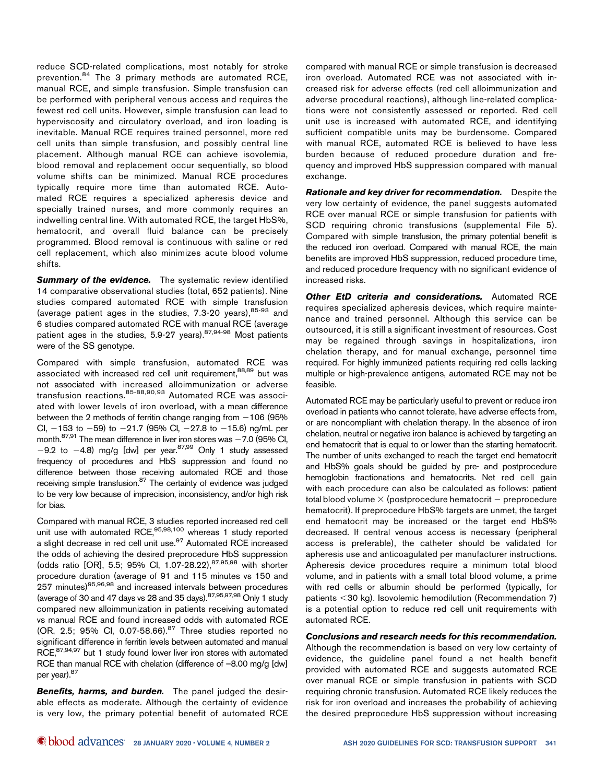reduce SCD-related complications, most notably for stroke prevention.<sup>84</sup> The 3 primary methods are automated RCE, manual RCE, and simple transfusion. Simple transfusion can be performed with peripheral venous access and requires the fewest red cell units. However, simple transfusion can lead to hyperviscosity and circulatory overload, and iron loading is inevitable. Manual RCE requires trained personnel, more red cell units than simple transfusion, and possibly central line placement. Although manual RCE can achieve isovolemia, blood removal and replacement occur sequentially, so blood volume shifts can be minimized. Manual RCE procedures typically require more time than automated RCE. Automated RCE requires a specialized apheresis device and specially trained nurses, and more commonly requires an indwelling central line. With automated RCE, the target HbS%, hematocrit, and overall fluid balance can be precisely programmed. Blood removal is continuous with saline or red cell replacement, which also minimizes acute blood volume shifts.

Summary of the evidence. The systematic review identified 14 comparative observational studies (total, 652 patients). Nine studies compared automated RCE with simple transfusion (average patient ages in the studies,  $7.3-20$  years),  $85-93$  and 6 studies compared automated RCE with manual RCE (average patient ages in the studies, 5.9-27 years).87,94-98 Most patients were of the SS genotype.

Compared with simple transfusion, automated RCE was associated with increased red cell unit requirement.<sup>88,89</sup> but was not associated with increased alloimmunization or adverse transfusion reactions.<sup>85-88,90,93</sup> Automated RCE was associated with lower levels of iron overload, with a mean difference between the 2 methods of ferritin change ranging from  $-106$  (95% CI,  $-153$  to  $-59$ ) to  $-21.7$  (95% CI,  $-27.8$  to  $-15.6$ ) ng/mL per month.<sup>87,91</sup> The mean difference in liver iron stores was  $-7.0$  (95% CI,  $-9.2$  to  $-4.8$ ) mg/g [dw] per year.<sup>87,99</sup> Only 1 study assessed frequency of procedures and HbS suppression and found no difference between those receiving automated RCE and those receiving simple transfusion.<sup>87</sup> The certainty of evidence was judged to be very low because of imprecision, inconsistency, and/or high risk for bias.

Compared with manual RCE, 3 studies reported increased red cell unit use with automated  $RCE$ ,  $95,98,100$  whereas 1 study reported a slight decrease in red cell unit use.<sup>97</sup> Automated RCE increased<br>a slight decrease in red cell unit use.<sup>97</sup> Automated RCE increased the odds of achieving the desired preprocedure HbS suppression (odds ratio [OR], 5.5; 95% Cl, 1.07-28.22),<sup>87,95,98</sup> with shorter procedure duration (average of 91 and 115 minutes vs 150 and 257 minutes)<sup>95,96,98</sup> and increased intervals between procedures (average of 30 and 47 days vs 28 and 35 days).  $87,95,97,98$  Only 1 study compared new alloimmunization in patients receiving automated vs manual RCE and found increased odds with automated RCE  $(OR, 2.5; 95\% \text{ Cl}, 0.07-58.66).$ <sup>87</sup> Three studies reported no significant difference in ferritin levels between automated and manual RCE,<sup>87,94,97</sup> but 1 study found lower liver iron stores with automated RCE than manual RCE with chelation (difference of –8.00 mg/g [dw] per year).<sup>87</sup>

Benefits, harms, and burden. The panel judged the desirable effects as moderate. Although the certainty of evidence is very low, the primary potential benefit of automated RCE

compared with manual RCE or simple transfusion is decreased iron overload. Automated RCE was not associated with increased risk for adverse effects (red cell alloimmunization and adverse procedural reactions), although line-related complications were not consistently assessed or reported. Red cell unit use is increased with automated RCE, and identifying sufficient compatible units may be burdensome. Compared with manual RCE, automated RCE is believed to have less burden because of reduced procedure duration and frequency and improved HbS suppression compared with manual exchange.

Rationale and key driver for recommendation. Despite the very low certainty of evidence, the panel suggests automated RCE over manual RCE or simple transfusion for patients with SCD requiring chronic transfusions (supplemental File 5). Compared with simple transfusion, the primary potential benefit is the reduced iron overload. Compared with manual RCE, the main benefits are improved HbS suppression, reduced procedure time, and reduced procedure frequency with no significant evidence of increased risks.

Other EtD criteria and considerations. Automated RCE requires specialized apheresis devices, which require maintenance and trained personnel. Although this service can be outsourced, it is still a significant investment of resources. Cost may be regained through savings in hospitalizations, iron chelation therapy, and for manual exchange, personnel time required. For highly immunized patients requiring red cells lacking multiple or high-prevalence antigens, automated RCE may not be feasible.

Automated RCE may be particularly useful to prevent or reduce iron overload in patients who cannot tolerate, have adverse effects from, or are noncompliant with chelation therapy. In the absence of iron chelation, neutral or negative iron balance is achieved by targeting an end hematocrit that is equal to or lower than the starting hematocrit. The number of units exchanged to reach the target end hematocrit and HbS% goals should be guided by pre- and postprocedure hemoglobin fractionations and hematocrits. Net red cell gain with each procedure can also be calculated as follows: patient total blood volume  $\times$  (postprocedure hematocrit – preprocedure hematocrit). If preprocedure HbS% targets are unmet, the target end hematocrit may be increased or the target end HbS% decreased. If central venous access is necessary (peripheral access is preferable), the catheter should be validated for apheresis use and anticoagulated per manufacturer instructions. Apheresis device procedures require a minimum total blood volume, and in patients with a small total blood volume, a prime with red cells or albumin should be performed (typically, for patients <30 kg). Isovolemic hemodilution (Recommendation 7) is a potential option to reduce red cell unit requirements with automated RCE.

Conclusions and research needs for this recommendation. Although the recommendation is based on very low certainty of evidence, the guideline panel found a net health benefit provided with automated RCE and suggests automated RCE over manual RCE or simple transfusion in patients with SCD requiring chronic transfusion. Automated RCE likely reduces the risk for iron overload and increases the probability of achieving the desired preprocedure HbS suppression without increasing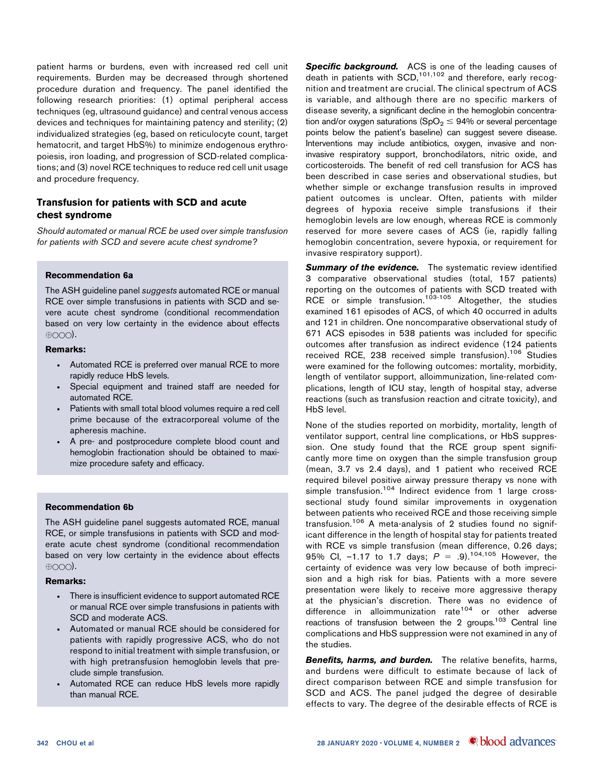<span id="page-15-0"></span>patient harms or burdens, even with increased red cell unit requirements. Burden may be decreased through shortened procedure duration and frequency. The panel identified the following research priorities: (1) optimal peripheral access techniques (eg, ultrasound guidance) and central venous access devices and techniques for maintaining patency and sterility; (2) individualized strategies (eg, based on reticulocyte count, target hematocrit, and target HbS%) to minimize endogenous erythropoiesis, iron loading, and progression of SCD-related complications; and (3) novel RCE techniques to reduce red cell unit usage and procedure frequency.

# Transfusion for patients with SCD and acute chest syndrome

Should automated or manual RCE be used over simple transfusion for patients with SCD and severe acute chest syndrome?

#### Recommendation 6a

The ASH guideline panel suggests automated RCE or manual RCE over simple transfusions in patients with SCD and severe acute chest syndrome (conditional recommendation based on very low certainty in the evidence about effects  $\oplus$ OOO).

#### Remarks:

- Automated RCE is preferred over manual RCE to more rapidly reduce HbS levels.
- Special equipment and trained staff are needed for automated RCE.
- **•** Patients with small total blood volumes require a red cell prime because of the extracorporeal volume of the apheresis machine.
- A pre- and postprocedure complete blood count and hemoglobin fractionation should be obtained to maximize procedure safety and efficacy.

#### Recommendation 6b

The ASH guideline panel suggests automated RCE, manual RCE, or simple transfusions in patients with SCD and moderate acute chest syndrome (conditional recommendation based on very low certainty in the evidence about effects  $\oplus$ OOO).

#### Remarks:

- There is insufficient evidence to support automated RCE or manual RCE over simple transfusions in patients with SCD and moderate ACS.
- Automated or manual RCE should be considered for patients with rapidly progressive ACS, who do not respond to initial treatment with simple transfusion, or with high pretransfusion hemoglobin levels that preclude simple transfusion.
- Automated RCE can reduce HbS levels more rapidly than manual RCE.

Specific background. ACS is one of the leading causes of death in patients with SCD,<sup>101,102</sup> and therefore, early recognition and treatment are crucial. The clinical spectrum of ACS is variable, and although there are no specific markers of disease severity, a significant decline in the hemoglobin concentration and/or oxygen saturations (SpO<sub>2</sub>  $\leq$  94% or several percentage points below the patient's baseline) can suggest severe disease. Interventions may include antibiotics, oxygen, invasive and noninvasive respiratory support, bronchodilators, nitric oxide, and corticosteroids. The benefit of red cell transfusion for ACS has been described in case series and observational studies, but whether simple or exchange transfusion results in improved patient outcomes is unclear. Often, patients with milder degrees of hypoxia receive simple transfusions if their hemoglobin levels are low enough, whereas RCE is commonly reserved for more severe cases of ACS (ie, rapidly falling hemoglobin concentration, severe hypoxia, or requirement for invasive respiratory support).

Summary of the evidence. The systematic review identified 3 comparative observational studies (total, 157 patients) reporting on the outcomes of patients with SCD treated with RCE or simple transfusion.<sup>103-105</sup> Altogether, the studies examined 161 episodes of ACS, of which 40 occurred in adults and 121 in children. One noncomparative observational study of 671 ACS episodes in 538 patients was included for specific outcomes after transfusion as indirect evidence (124 patients received RCE, 238 received simple transfusion).<sup>106</sup> Studies were examined for the following outcomes: mortality, morbidity, length of ventilator support, alloimmunization, line-related complications, length of ICU stay, length of hospital stay, adverse reactions (such as transfusion reaction and citrate toxicity), and HbS level.

None of the studies reported on morbidity, mortality, length of ventilator support, central line complications, or HbS suppression. One study found that the RCE group spent significantly more time on oxygen than the simple transfusion group (mean, 3.7 vs 2.4 days), and 1 patient who received RCE required bilevel positive airway pressure therapy vs none with simple transfusion.<sup>104</sup> Indirect evidence from 1 large crosssectional study found similar improvements in oxygenation between patients who received RCE and those receiving simple transfusion.<sup>106</sup> A meta-analysis of 2 studies found no significant difference in the length of hospital stay for patients treated with RCE vs simple transfusion (mean difference, 0.26 days; 95% Cl, -1.17 to 1.7 days;  $P = .9$ ).<sup>104,105</sup> However, the certainty of evidence was very low because of both imprecision and a high risk for bias. Patients with a more severe presentation were likely to receive more aggressive therapy at the physician's discretion. There was no evidence of difference in alloimmunization rate<sup>104</sup> or other adverse reactions of transfusion between the 2 groups.<sup>103</sup> Central line complications and HbS suppression were not examined in any of the studies.

Benefits, harms, and burden. The relative benefits, harms, and burdens were difficult to estimate because of lack of direct comparison between RCE and simple transfusion for SCD and ACS. The panel judged the degree of desirable effects to vary. The degree of the desirable effects of RCE is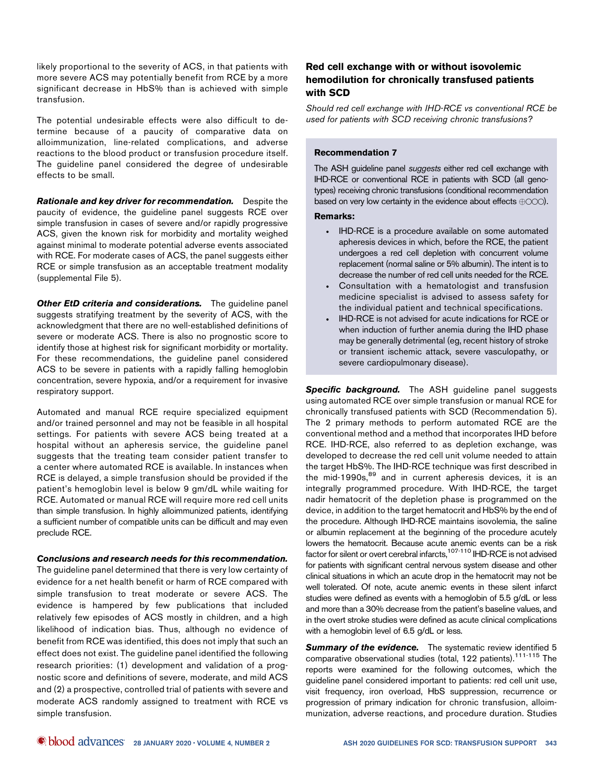<span id="page-16-0"></span>likely proportional to the severity of ACS, in that patients with more severe ACS may potentially benefit from RCE by a more significant decrease in HbS% than is achieved with simple transfusion.

The potential undesirable effects were also difficult to determine because of a paucity of comparative data on alloimmunization, line-related complications, and adverse reactions to the blood product or transfusion procedure itself. The guideline panel considered the degree of undesirable effects to be small.

Rationale and key driver for recommendation. Despite the paucity of evidence, the guideline panel suggests RCE over simple transfusion in cases of severe and/or rapidly progressive ACS, given the known risk for morbidity and mortality weighed against minimal to moderate potential adverse events associated with RCE. For moderate cases of ACS, the panel suggests either RCE or simple transfusion as an acceptable treatment modality (supplemental File 5).

Other EtD criteria and considerations. The guideline panel suggests stratifying treatment by the severity of ACS, with the acknowledgment that there are no well-established definitions of severe or moderate ACS. There is also no prognostic score to identify those at highest risk for significant morbidity or mortality. For these recommendations, the guideline panel considered ACS to be severe in patients with a rapidly falling hemoglobin concentration, severe hypoxia, and/or a requirement for invasive respiratory support.

Automated and manual RCE require specialized equipment and/or trained personnel and may not be feasible in all hospital settings. For patients with severe ACS being treated at a hospital without an apheresis service, the guideline panel suggests that the treating team consider patient transfer to a center where automated RCE is available. In instances when RCE is delayed, a simple transfusion should be provided if the patient's hemoglobin level is below 9 gm/dL while waiting for RCE. Automated or manual RCE will require more red cell units than simple transfusion. In highly alloimmunized patients, identifying a sufficient number of compatible units can be difficult and may even preclude RCE.

#### Conclusions and research needs for this recommendation.

The guideline panel determined that there is very low certainty of evidence for a net health benefit or harm of RCE compared with simple transfusion to treat moderate or severe ACS. The evidence is hampered by few publications that included relatively few episodes of ACS mostly in children, and a high likelihood of indication bias. Thus, although no evidence of benefit from RCE was identified, this does not imply that such an effect does not exist. The guideline panel identified the following research priorities: (1) development and validation of a prognostic score and definitions of severe, moderate, and mild ACS and (2) a prospective, controlled trial of patients with severe and moderate ACS randomly assigned to treatment with RCE vs simple transfusion.

# Red cell exchange with or without isovolemic hemodilution for chronically transfused patients with SCD

Should red cell exchange with IHD-RCE vs conventional RCE be used for patients with SCD receiving chronic transfusions?

### Recommendation 7

The ASH guideline panel suggests either red cell exchange with IHD-RCE or conventional RCE in patients with SCD (all genotypes) receiving chronic transfusions (conditional recommendation based on very low certainty in the evidence about effects ⊕◯◯◯).

#### Remarks:

- IHD-RCE is a procedure available on some automated apheresis devices in which, before the RCE, the patient undergoes a red cell depletion with concurrent volume replacement (normal saline or 5% albumin). The intent is to decrease the number of red cell units needed for the RCE.
- Consultation with a hematologist and transfusion medicine specialist is advised to assess safety for the individual patient and technical specifications.
- IHD-RCE is not advised for acute indications for RCE or when induction of further anemia during the IHD phase may be generally detrimental (eg, recent history of stroke or transient ischemic attack, severe vasculopathy, or severe cardiopulmonary disease).

Specific background. The ASH guideline panel suggests using automated RCE over simple transfusion or manual RCE for chronically transfused patients with SCD (Recommendation 5). The 2 primary methods to perform automated RCE are the conventional method and a method that incorporates IHD before RCE. IHD-RCE, also referred to as depletion exchange, was developed to decrease the red cell unit volume needed to attain the target HbS%. The IHD-RCE technique was first described in the mid-1990s, $89$  and in current apheresis devices, it is an integrally programmed procedure. With IHD-RCE, the target nadir hematocrit of the depletion phase is programmed on the device, in addition to the target hematocrit and HbS% by the end of the procedure. Although IHD-RCE maintains isovolemia, the saline or albumin replacement at the beginning of the procedure acutely lowers the hematocrit. Because acute anemic events can be a risk factor for silent or overt cerebral infarcts,<sup>107-110</sup> IHD-RCE is not advised for patients with significant central nervous system disease and other clinical situations in which an acute drop in the hematocrit may not be well tolerated. Of note, acute anemic events in these silent infarct studies were defined as events with a hemoglobin of 5.5 g/dL or less and more than a 30% decrease from the patient's baseline values, and in the overt stroke studies were defined as acute clinical complications with a hemoglobin level of 6.5 g/dL or less.

Summary of the evidence. The systematic review identified 5 comparative observational studies (total, 122 patients).<sup>111-115</sup> The reports were examined for the following outcomes, which the guideline panel considered important to patients: red cell unit use, visit frequency, iron overload, HbS suppression, recurrence or progression of primary indication for chronic transfusion, alloimmunization, adverse reactions, and procedure duration. Studies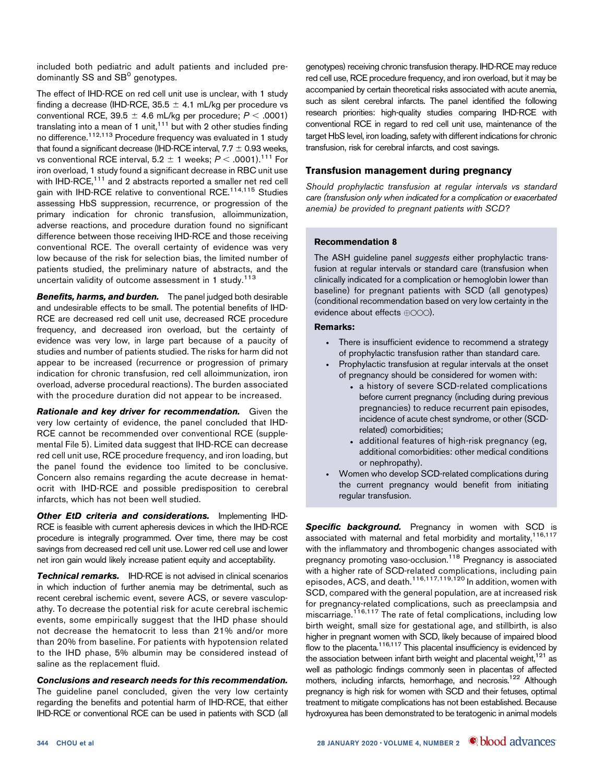<span id="page-17-0"></span>included both pediatric and adult patients and included predominantly SS and SB<sup>0</sup> genotypes.

The effect of IHD-RCE on red cell unit use is unclear, with 1 study finding a decrease (IHD-RCE, 35.5  $\pm$  4.1 mL/kg per procedure vs conventional RCE, 39.5  $\pm$  4.6 mL/kg per procedure; P < .0001) translating into a mean of 1 unit,  $111$  but with 2 other studies finding no difference.<sup>112,113</sup> Procedure frequency was evaluated in 1 study that found a significant decrease (IHD-RCE interval,  $7.7 \pm 0.93$  weeks, vs conventional RCE interval,  $5.2 \pm 1$  weeks;  $P < .0001$ .<sup>111</sup> For iron overload, 1 study found a significant decrease in RBC unit use with IHD-RCE,<sup>111</sup> and 2 abstracts reported a smaller net red cell gain with IHD-RCE relative to conventional RCE.<sup>114,115</sup> Studies assessing HbS suppression, recurrence, or progression of the primary indication for chronic transfusion, alloimmunization, adverse reactions, and procedure duration found no significant difference between those receiving IHD-RCE and those receiving conventional RCE. The overall certainty of evidence was very low because of the risk for selection bias, the limited number of patients studied, the preliminary nature of abstracts, and the uncertain validity of outcome assessment in 1 study.<sup>113</sup>

Benefits, harms, and burden. The panel judged both desirable and undesirable effects to be small. The potential benefits of IHD-RCE are decreased red cell unit use, decreased RCE procedure frequency, and decreased iron overload, but the certainty of evidence was very low, in large part because of a paucity of studies and number of patients studied. The risks for harm did not appear to be increased (recurrence or progression of primary indication for chronic transfusion, red cell alloimmunization, iron overload, adverse procedural reactions). The burden associated with the procedure duration did not appear to be increased.

Rationale and key driver for recommendation. Given the very low certainty of evidence, the panel concluded that IHD-RCE cannot be recommended over conventional RCE (supplemental File 5). Limited data suggest that IHD-RCE can decrease red cell unit use, RCE procedure frequency, and iron loading, but the panel found the evidence too limited to be conclusive. Concern also remains regarding the acute decrease in hematocrit with IHD-RCE and possible predisposition to cerebral infarcts, which has not been well studied.

Other EtD criteria and considerations. Implementing IHD-RCE is feasible with current apheresis devices in which the IHD-RCE procedure is integrally programmed. Over time, there may be cost savings from decreased red cell unit use. Lower red cell use and lower net iron gain would likely increase patient equity and acceptability.

Technical remarks. IHD-RCE is not advised in clinical scenarios in which induction of further anemia may be detrimental, such as recent cerebral ischemic event, severe ACS, or severe vasculopathy. To decrease the potential risk for acute cerebral ischemic events, some empirically suggest that the IHD phase should not decrease the hematocrit to less than 21% and/or more than 20% from baseline. For patients with hypotension related to the IHD phase, 5% albumin may be considered instead of saline as the replacement fluid.

#### Conclusions and research needs for this recommendation.

The guideline panel concluded, given the very low certainty regarding the benefits and potential harm of IHD-RCE, that either IHD-RCE or conventional RCE can be used in patients with SCD (all

genotypes) receiving chronic transfusion therapy. IHD-RCE may reduce red cell use, RCE procedure frequency, and iron overload, but it may be accompanied by certain theoretical risks associated with acute anemia, such as silent cerebral infarcts. The panel identified the following research priorities: high-quality studies comparing IHD-RCE with conventional RCE in regard to red cell unit use, maintenance of the target HbS level, iron loading, safety with different indications for chronic transfusion, risk for cerebral infarcts, and cost savings.

# Transfusion management during pregnancy

Should prophylactic transfusion at regular intervals vs standard care (transfusion only when indicated for a complication or exacerbated anemia) be provided to pregnant patients with SCD?

#### Recommendation 8

The ASH guideline panel suggests either prophylactic transfusion at regular intervals or standard care (transfusion when clinically indicated for a complication or hemoglobin lower than baseline) for pregnant patients with SCD (all genotypes) (conditional recommendation based on very low certainty in the evidence about effects  $\oplus$ ◯◯◯).

#### Remarks:

- There is insufficient evidence to recommend a strategy of prophylactic transfusion rather than standard care.
- Prophylactic transfusion at regular intervals at the onset of pregnancy should be considered for women with:
	- a history of severe SCD-related complications before current pregnancy (including during previous pregnancies) to reduce recurrent pain episodes, incidence of acute chest syndrome, or other (SCDrelated) comorbidities;
	- additional features of high-risk pregnancy (eg, additional comorbidities: other medical conditions or nephropathy).
- Women who develop SCD-related complications during the current pregnancy would benefit from initiating regular transfusion.

Specific background. Pregnancy in women with SCD is associated with maternal and fetal morbidity and mortality,<sup>116,117</sup> with the inflammatory and thrombogenic changes associated with pregnancy promoting vaso-occlusion.<sup>118</sup> Pregnancy is associated with a higher rate of SCD-related complications, including pain episodes, ACS, and death.<sup>116,117,119,120</sup> In addition, women with SCD, compared with the general population, are at increased risk for pregnancy-related complications, such as preeclampsia and miscarriage.<sup>116,117</sup> The rate of fetal complications, including low birth weight, small size for gestational age, and stillbirth, is also higher in pregnant women with SCD, likely because of impaired blood flow to the placenta.<sup>116,117</sup> This placental insufficiency is evidenced by the association between infant birth weight and placental weight, $121$  as well as pathologic findings commonly seen in placentas of affected mothers, including infarcts, hemorrhage, and necrosis.<sup>122</sup> Although pregnancy is high risk for women with SCD and their fetuses, optimal treatment to mitigate complications has not been established. Because hydroxyurea has been demonstrated to be teratogenic in animal models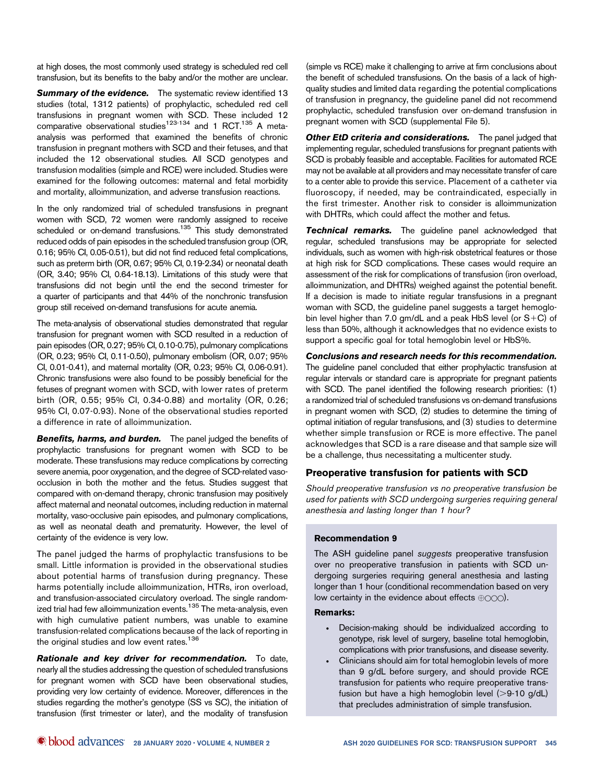<span id="page-18-0"></span>at high doses, the most commonly used strategy is scheduled red cell transfusion, but its benefits to the baby and/or the mother are unclear.

**Summary of the evidence.** The systematic review identified 13 studies (total, 1312 patients) of prophylactic, scheduled red cell transfusions in pregnant women with SCD. These included 12 comparative observational studies<sup>123-134</sup> and 1 RCT.<sup>135</sup> A metaanalysis was performed that examined the benefits of chronic transfusion in pregnant mothers with SCD and their fetuses, and that included the 12 observational studies. All SCD genotypes and transfusion modalities (simple and RCE) were included. Studies were examined for the following outcomes: maternal and fetal morbidity and mortality, alloimmunization, and adverse transfusion reactions.

In the only randomized trial of scheduled transfusions in pregnant women with SCD, 72 women were randomly assigned to receive scheduled or on-demand transfusions.<sup>135</sup> This study demonstrated reduced odds of pain episodes in the scheduled transfusion group (OR, 0.16; 95% CI, 0.05-0.51), but did not find reduced fetal complications, such as preterm birth (OR, 0.67; 95% CI, 0.19-2.34) or neonatal death (OR, 3.40; 95% CI, 0.64-18.13). Limitations of this study were that transfusions did not begin until the end the second trimester for a quarter of participants and that 44% of the nonchronic transfusion group still received on-demand transfusions for acute anemia.

The meta-analysis of observational studies demonstrated that regular transfusion for pregnant women with SCD resulted in a reduction of pain episodes (OR, 0.27; 95% CI, 0.10-0.75), pulmonary complications (OR, 0.23; 95% CI, 0.11-0.50), pulmonary embolism (OR, 0.07; 95% CI, 0.01-0.41), and maternal mortality (OR, 0.23; 95% CI, 0.06-0.91). Chronic transfusions were also found to be possibly beneficial for the fetuses of pregnant women with SCD, with lower rates of preterm birth (OR, 0.55; 95% CI, 0.34-0.88) and mortality (OR, 0.26; 95% CI, 0.07-0.93). None of the observational studies reported a difference in rate of alloimmunization.

Benefits, harms, and burden. The panel judged the benefits of prophylactic transfusions for pregnant women with SCD to be moderate. These transfusions may reduce complications by correcting severe anemia, poor oxygenation, and the degree of SCD-related vasoocclusion in both the mother and the fetus. Studies suggest that compared with on-demand therapy, chronic transfusion may positively affect maternal and neonatal outcomes, including reduction in maternal mortality, vaso-occlusive pain episodes, and pulmonary complications, as well as neonatal death and prematurity. However, the level of certainty of the evidence is very low.

The panel judged the harms of prophylactic transfusions to be small. Little information is provided in the observational studies about potential harms of transfusion during pregnancy. These harms potentially include alloimmunization, HTRs, iron overload, and transfusion-associated circulatory overload. The single randomized trial had few alloimmunization events.<sup>135</sup> The meta-analysis, even with high cumulative patient numbers, was unable to examine transfusion-related complications because of the lack of reporting in the original studies and low event rates.<sup>136</sup>

Rationale and key driver for recommendation. To date, nearly all the studies addressing the question of scheduled transfusions for pregnant women with SCD have been observational studies, providing very low certainty of evidence. Moreover, differences in the studies regarding the mother's genotype (SS vs SC), the initiation of transfusion (first trimester or later), and the modality of transfusion

(simple vs RCE) make it challenging to arrive at firm conclusions about the benefit of scheduled transfusions. On the basis of a lack of highquality studies and limited data regarding the potential complications of transfusion in pregnancy, the guideline panel did not recommend prophylactic, scheduled transfusion over on-demand transfusion in pregnant women with SCD (supplemental File 5).

Other EtD criteria and considerations. The panel judged that implementing regular, scheduled transfusions for pregnant patients with SCD is probably feasible and acceptable. Facilities for automated RCE may not be available at all providers and may necessitate transfer of care to a center able to provide this service. Placement of a catheter via fluoroscopy, if needed, may be contraindicated, especially in the first trimester. Another risk to consider is alloimmunization with DHTRs, which could affect the mother and fetus.

Technical remarks. The guideline panel acknowledged that regular, scheduled transfusions may be appropriate for selected individuals, such as women with high-risk obstetrical features or those at high risk for SCD complications. These cases would require an assessment of the risk for complications of transfusion (iron overload, alloimmunization, and DHTRs) weighed against the potential benefit. If a decision is made to initiate regular transfusions in a pregnant woman with SCD, the guideline panel suggests a target hemoglobin level higher than 7.0 gm/dL and a peak HbS level (or  $S+C$ ) of less than 50%, although it acknowledges that no evidence exists to support a specific goal for total hemoglobin level or HbS%.

Conclusions and research needs for this recommendation. The guideline panel concluded that either prophylactic transfusion at regular intervals or standard care is appropriate for pregnant patients with SCD. The panel identified the following research priorities: (1) a randomized trial of scheduled transfusions vs on-demand transfusions in pregnant women with SCD, (2) studies to determine the timing of optimal initiation of regular transfusions, and (3) studies to determine whether simple transfusion or RCE is more effective. The panel acknowledges that SCD is a rare disease and that sample size will be a challenge, thus necessitating a multicenter study.

## Preoperative transfusion for patients with SCD

Should preoperative transfusion vs no preoperative transfusion be used for patients with SCD undergoing surgeries requiring general anesthesia and lasting longer than 1 hour?

### Recommendation 9

The ASH guideline panel suggests preoperative transfusion over no preoperative transfusion in patients with SCD undergoing surgeries requiring general anesthesia and lasting longer than 1 hour (conditional recommendation based on very low certainty in the evidence about effects ⊕○○○).

#### Remarks:

- Decision-making should be individualized according to genotype, risk level of surgery, baseline total hemoglobin, complications with prior transfusions, and disease severity.
- Clinicians should aim for total hemoglobin levels of more than 9 g/dL before surgery, and should provide RCE transfusion for patients who require preoperative transfusion but have a high hemoglobin level  $(>9-10 \text{ g/dL})$ that precludes administration of simple transfusion.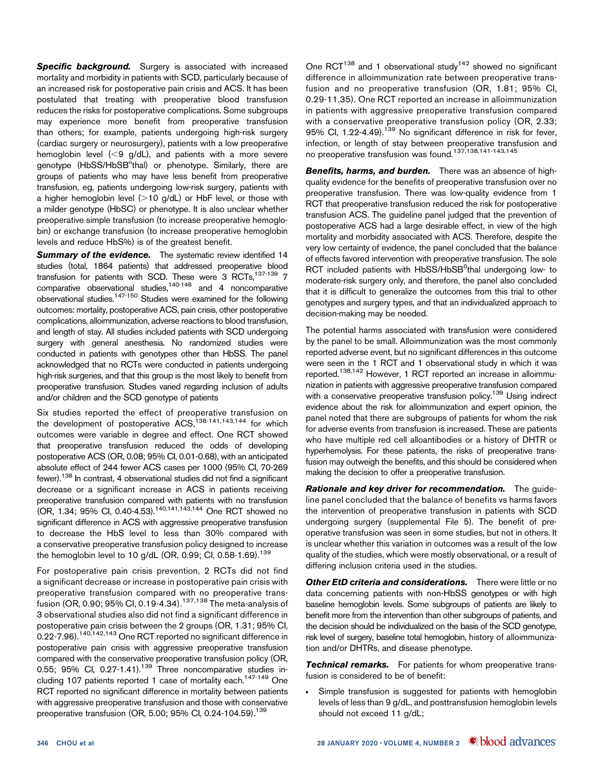Specific background. Surgery is associated with increased mortality and morbidity in patients with SCD, particularly because of an increased risk for postoperative pain crisis and ACS. It has been postulated that treating with preoperative blood transfusion reduces the risks for postoperative complications. Some subgroups may experience more benefit from preoperative transfusion than others; for example, patients undergoing high-risk surgery (cardiac surgery or neurosurgery), patients with a low preoperative hemoglobin level  $( $9 \text{ g/dL}$ ), and patients with a more severe$ genotype (HbSS/HbSB<sup>o</sup>thal) or phenotype. Similarly, there are groups of patients who may have less benefit from preoperative transfusion, eg, patients undergoing low-risk surgery, patients with a higher hemoglobin level  $(>10 \text{ g/dL})$  or HbF level, or those with a milder genotype (HbSC) or phenotype. It is also unclear whether preoperative simple transfusion (to increase preoperative hemoglobin) or exchange transfusion (to increase preoperative hemoglobin levels and reduce HbS%) is of the greatest benefit.

Summary of the evidence. The systematic review identified 14 studies (total, 1864 patients) that addressed preoperative blood transfusion for patients with SCD. These were 3 RCTs,<sup>137-139</sup> 7 comparative observational studies,<sup>140-146</sup> and 4 noncomparative observational studies.<sup>147-150</sup> Studies were examined for the following outcomes: mortality, postoperative ACS, pain crisis, other postoperative complications, alloimmunization, adverse reactions to blood transfusion, and length of stay. All studies included patients with SCD undergoing surgery with general anesthesia. No randomized studies were conducted in patients with genotypes other than HbSS. The panel acknowledged that no RCTs were conducted in patients undergoing high-risk surgeries, and that this group is the most likely to benefit from preoperative transfusion. Studies varied regarding inclusion of adults and/or children and the SCD genotype of patients

Six studies reported the effect of preoperative transfusion on the development of postoperative ACS,<sup>138-141,143,144</sup> for which outcomes were variable in degree and effect. One RCT showed that preoperative transfusion reduced the odds of developing postoperative ACS (OR, 0.08; 95% CI, 0.01-0.68), with an anticipated absolute effect of 244 fewer ACS cases per 1000 (95% CI, 70-269 fewer).<sup>138</sup> In contrast, 4 observational studies did not find a significant decrease or a significant increase in ACS in patients receiving preoperative transfusion compared with patients with no transfusion (OR, 1.34; 95% CI, 0.40-4.53).140,141,143,144 One RCT showed no significant difference in ACS with aggressive preoperative transfusion to decrease the HbS level to less than 30% compared with a conservative preoperative transfusion policy designed to increase the hemoglobin level to 10 g/dL (OR, 0.99; Cl, 0.58-1.69).<sup>139</sup>

For postoperative pain crisis prevention, 2 RCTs did not find a significant decrease or increase in postoperative pain crisis with preoperative transfusion compared with no preoperative transfusion (OR, 0.90; 95% CI, 0.19-4.34).<sup>137,138</sup> The meta-analysis of 3 observational studies also did not find a significant difference in postoperative pain crisis between the 2 groups (OR, 1.31; 95% CI, 0.22-7.96).<sup>140,142,143</sup> One RCT reported no significant difference in postoperative pain crisis with aggressive preoperative transfusion compared with the conservative preoperative transfusion policy (OR, 0.55; 95% Cl, 0.27-1.41).<sup>139</sup> Three noncomparative studies including 107 patients reported 1 case of mortality each.<sup>147-149</sup> One RCT reported no significant difference in mortality between patients with aggressive preoperative transfusion and those with conservative preoperative transfusion (OR, 5.00; 95% Cl, 0.24-104.59).<sup>139</sup>

One  $RCT^{138}$  and 1 observational study<sup>142</sup> showed no significant difference in alloimmunization rate between preoperative transfusion and no preoperative transfusion (OR, 1.81; 95% CI, 0.29-11.35). One RCT reported an increase in alloimmunization in patients with aggressive preoperative transfusion compared with a conservative preoperative transfusion policy (OR, 2.33; 95% CI, 1.22-4.49).<sup>139</sup> No significant difference in risk for fever, infection, or length of stay between preoperative transfusion and no preoperative transfusion was found.137,138,141-143,145

Benefits, harms, and burden. There was an absence of highquality evidence for the benefits of preoperative transfusion over no preoperative transfusion. There was low-quality evidence from 1 RCT that preoperative transfusion reduced the risk for postoperative transfusion ACS. The guideline panel judged that the prevention of postoperative ACS had a large desirable effect, in view of the high mortality and morbidity associated with ACS. Therefore, despite the very low certainty of evidence, the panel concluded that the balance of effects favored intervention with preoperative transfusion. The sole RCT included patients with HbSS/HbSB<sup>o</sup>thal undergoing low- to moderate-risk surgery only, and therefore, the panel also concluded that it is difficult to generalize the outcomes from this trial to other genotypes and surgery types, and that an individualized approach to decision-making may be needed.

The potential harms associated with transfusion were considered by the panel to be small. Alloimmunization was the most commonly reported adverse event, but no significant differences in this outcome were seen in the 1 RCT and 1 observational study in which it was reported.138,142 However, 1 RCT reported an increase in alloimmunization in patients with aggressive preoperative transfusion compared with a conservative preoperative transfusion policy.<sup>139</sup> Using indirect evidence about the risk for alloimmunization and expert opinion, the panel noted that there are subgroups of patients for whom the risk for adverse events from transfusion is increased. These are patients who have multiple red cell alloantibodies or a history of DHTR or hyperhemolysis. For these patients, the risks of preoperative transfusion may outweigh the benefits, and this should be considered when making the decision to offer a preoperative transfusion.

Rationale and key driver for recommendation. The quideline panel concluded that the balance of benefits vs harms favors the intervention of preoperative transfusion in patients with SCD undergoing surgery (supplemental File 5). The benefit of preoperative transfusion was seen in some studies, but not in others. It is unclear whether this variation in outcomes was a result of the low quality of the studies, which were mostly observational, or a result of differing inclusion criteria used in the studies.

Other EtD criteria and considerations. There were little or no data concerning patients with non-HbSS genotypes or with high baseline hemoglobin levels. Some subgroups of patients are likely to benefit more from the intervention than other subgroups of patients, and the decision should be individualized on the basis of the SCD genotype, risk level of surgery, baseline total hemoglobin, history of alloimmunization and/or DHTRs, and disease phenotype.

**Technical remarks.** For patients for whom preoperative transfusion is considered to be of benefit:

Simple transfusion is suggested for patients with hemoglobin levels of less than 9 g/dL, and posttransfusion hemoglobin levels should not exceed 11 g/dL;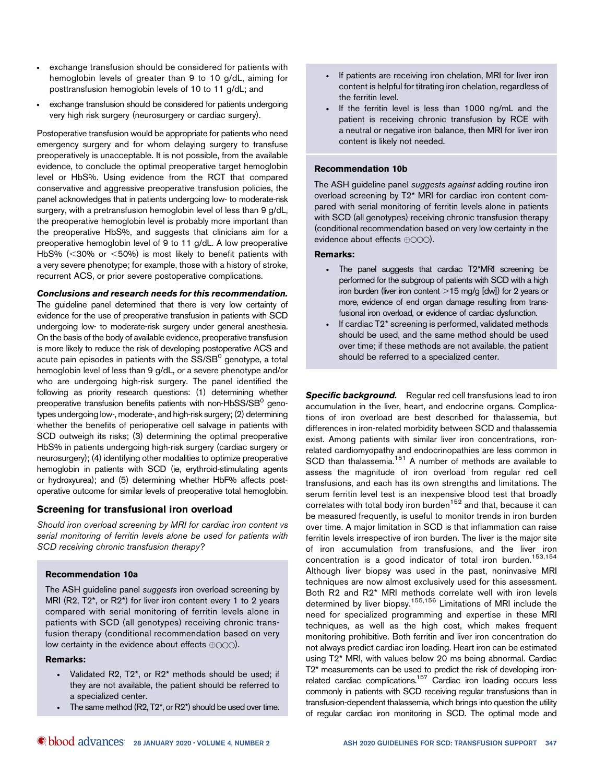- <span id="page-20-0"></span>exchange transfusion should be considered for patients with hemoglobin levels of greater than 9 to 10 g/dL, aiming for posttransfusion hemoglobin levels of 10 to 11 g/dL; and
- exchange transfusion should be considered for patients undergoing very high risk surgery (neurosurgery or cardiac surgery).

Postoperative transfusion would be appropriate for patients who need emergency surgery and for whom delaying surgery to transfuse preoperatively is unacceptable. It is not possible, from the available evidence, to conclude the optimal preoperative target hemoglobin level or HbS%. Using evidence from the RCT that compared conservative and aggressive preoperative transfusion policies, the panel acknowledges that in patients undergoing low- to moderate-risk surgery, with a pretransfusion hemoglobin level of less than 9 g/dL, the preoperative hemoglobin level is probably more important than the preoperative HbS%, and suggests that clinicians aim for a preoperative hemoglobin level of 9 to 11 g/dL. A low preoperative HbS% ( $<$ 30% or  $<$ 50%) is most likely to benefit patients with a very severe phenotype; for example, those with a history of stroke, recurrent ACS, or prior severe postoperative complications.

#### Conclusions and research needs for this recommendation.

The guideline panel determined that there is very low certainty of evidence for the use of preoperative transfusion in patients with SCD undergoing low- to moderate-risk surgery under general anesthesia. On the basis of the body of available evidence, preoperative transfusion is more likely to reduce the risk of developing postoperative ACS and acute pain episodes in patients with the  $SS/SB<sup>0</sup>$  genotype, a total hemoglobin level of less than 9 g/dL, or a severe phenotype and/or who are undergoing high-risk surgery. The panel identified the following as priority research questions: (1) determining whether preoperative transfusion benefits patients with non- $H$ bSS/SB $^0$  genotypes undergoing low-, moderate-, and high-risk surgery; (2) determining whether the benefits of perioperative cell salvage in patients with SCD outweigh its risks; (3) determining the optimal preoperative HbS% in patients undergoing high-risk surgery (cardiac surgery or neurosurgery); (4) identifying other modalities to optimize preoperative hemoglobin in patients with SCD (ie, erythroid-stimulating agents or hydroxyurea); and (5) determining whether HbF% affects postoperative outcome for similar levels of preoperative total hemoglobin.

### Screening for transfusional iron overload

Should iron overload screening by MRI for cardiac iron content vs serial monitoring of ferritin levels alone be used for patients with SCD receiving chronic transfusion therapy?

#### Recommendation 10a

The ASH quideline panel suggests iron overload screening by MRI (R2, T2\*, or R2\*) for liver iron content every 1 to 2 years compared with serial monitoring of ferritin levels alone in patients with SCD (all genotypes) receiving chronic transfusion therapy (conditional recommendation based on very low certainty in the evidence about effects  $\oplus$  ooo).

#### Remarks:

- Validated R2, T2\*, or  $R2*$  methods should be used; if they are not available, the patient should be referred to a specialized center.
- The same method (R2, T2\*, or R2\*) should be used over time.
- If patients are receiving iron chelation, MRI for liver iron content is helpful for titrating iron chelation, regardless of the ferritin level.
- If the ferritin level is less than 1000 ng/mL and the patient is receiving chronic transfusion by RCE with a neutral or negative iron balance, then MRI for liver iron content is likely not needed.

#### Recommendation 10b

The ASH guideline panel suggests against adding routine iron overload screening by T2\* MRI for cardiac iron content compared with serial monitoring of ferritin levels alone in patients with SCD (all genotypes) receiving chronic transfusion therapy (conditional recommendation based on very low certainty in the evidence about effects ⊕○○○).

#### Remarks:

- The panel suggests that cardiac T2\*MRI screening be performed for the subgroup of patients with SCD with a high iron burden (liver iron content  $>$ 15 mg/g [dw]) for 2 years or more, evidence of end organ damage resulting from transfusional iron overload, or evidence of cardiac dysfunction.
- If cardiac T2\* screening is performed, validated methods should be used, and the same method should be used over time; if these methods are not available, the patient should be referred to a specialized center.

Specific background. Regular red cell transfusions lead to iron accumulation in the liver, heart, and endocrine organs. Complications of iron overload are best described for thalassemia, but differences in iron-related morbidity between SCD and thalassemia exist. Among patients with similar liver iron concentrations, ironrelated cardiomyopathy and endocrinopathies are less common in SCD than thalassemia.<sup>151</sup> A number of methods are available to assess the magnitude of iron overload from regular red cell transfusions, and each has its own strengths and limitations. The serum ferritin level test is an inexpensive blood test that broadly correlates with total body iron burden<sup>152</sup> and that, because it can be measured frequently, is useful to monitor trends in iron burden over time. A major limitation in SCD is that inflammation can raise ferritin levels irrespective of iron burden. The liver is the major site of iron accumulation from transfusions, and the liver iron concentration is a good indicator of total iron burden.<sup>153,154</sup> Although liver biopsy was used in the past, noninvasive MRI techniques are now almost exclusively used for this assessment. Both R2 and R2\* MRI methods correlate well with iron levels determined by liver biopsy.<sup>155,156</sup> Limitations of MRI include the need for specialized programming and expertise in these MRI techniques, as well as the high cost, which makes frequent monitoring prohibitive. Both ferritin and liver iron concentration do not always predict cardiac iron loading. Heart iron can be estimated using T2\* MRI, with values below 20 ms being abnormal. Cardiac T2\* measurements can be used to predict the risk of developing ironrelated cardiac complications.<sup>157</sup> Cardiac iron loading occurs less commonly in patients with SCD receiving regular transfusions than in transfusion-dependent thalassemia, which brings into question the utility of regular cardiac iron monitoring in SCD. The optimal mode and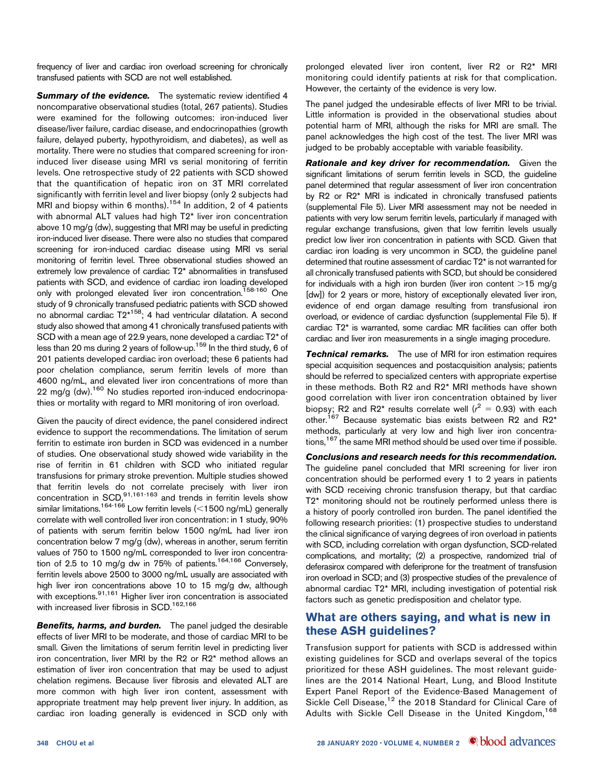frequency of liver and cardiac iron overload screening for chronically transfused patients with SCD are not well established.

**Summary of the evidence.** The systematic review identified 4 noncomparative observational studies (total, 267 patients). Studies were examined for the following outcomes: iron-induced liver disease/liver failure, cardiac disease, and endocrinopathies (growth failure, delayed puberty, hypothyroidism, and diabetes), as well as mortality. There were no studies that compared screening for ironinduced liver disease using MRI vs serial monitoring of ferritin levels. One retrospective study of 22 patients with SCD showed that the quantification of hepatic iron on 3T MRI correlated significantly with ferritin level and liver biopsy (only 2 subjects had MRI and biopsy within 6 months).<sup>154</sup> In addition, 2 of 4 patients with abnormal ALT values had high T2\* liver iron concentration above 10 mg/g (dw), suggesting that MRI may be useful in predicting iron-induced liver disease. There were also no studies that compared screening for iron-induced cardiac disease using MRI vs serial monitoring of ferritin level. Three observational studies showed an extremely low prevalence of cardiac T2\* abnormalities in transfused patients with SCD, and evidence of cardiac iron loading developed only with prolonged elevated liver iron concentration.<sup>158-160</sup> One study of 9 chronically transfused pediatric patients with SCD showed no abnormal cardiac T2\*158; 4 had ventricular dilatation. A second study also showed that among 41 chronically transfused patients with SCD with a mean age of 22.9 years, none developed a cardiac T2\* of less than 20 ms during 2 years of follow-up.159 In the third study, 6 of 201 patients developed cardiac iron overload; these 6 patients had poor chelation compliance, serum ferritin levels of more than 4600 ng/mL, and elevated liver iron concentrations of more than  $22 \text{ mg/g}$  (dw).<sup>160</sup> No studies reported iron-induced endocrinopathies or mortality with regard to MRI monitoring of iron overload.

Given the paucity of direct evidence, the panel considered indirect evidence to support the recommendations. The limitation of serum ferritin to estimate iron burden in SCD was evidenced in a number of studies. One observational study showed wide variability in the rise of ferritin in 61 children with SCD who initiated regular transfusions for primary stroke prevention. Multiple studies showed that ferritin levels do not correlate precisely with liver iron concentration in SCD,<sup>91,161-163</sup> and trends in ferritin levels show similar limitations.<sup>164-166</sup> Low ferritin levels (<1500 ng/mL) generally correlate with well controlled liver iron concentration: in 1 study, 90% of patients with serum ferritin below 1500 ng/mL had liver iron concentration below 7 mg/g (dw), whereas in another, serum ferritin values of 750 to 1500 ng/mL corresponded to liver iron concentration of 2.5 to 10 mg/g dw in 75% of patients.<sup>164,166</sup> Conversely, ferritin levels above 2500 to 3000 ng/mL usually are associated with high liver iron concentrations above 10 to 15 mg/g dw, although with exceptions.<sup>91,161</sup> Higher liver iron concentration is associated with increased liver fibrosis in SCD.<sup>162,166</sup>

Benefits, harms, and burden. The panel judged the desirable effects of liver MRI to be moderate, and those of cardiac MRI to be small. Given the limitations of serum ferritin level in predicting liver iron concentration, liver MRI by the R2 or R2\* method allows an estimation of liver iron concentration that may be used to adjust chelation regimens. Because liver fibrosis and elevated ALT are more common with high liver iron content, assessment with appropriate treatment may help prevent liver injury. In addition, as cardiac iron loading generally is evidenced in SCD only with

prolonged elevated liver iron content, liver R2 or R2\* MRI monitoring could identify patients at risk for that complication. However, the certainty of the evidence is very low.

The panel judged the undesirable effects of liver MRI to be trivial. Little information is provided in the observational studies about potential harm of MRI, although the risks for MRI are small. The panel acknowledges the high cost of the test. The liver MRI was judged to be probably acceptable with variable feasibility.

Rationale and key driver for recommendation. Given the significant limitations of serum ferritin levels in SCD, the guideline panel determined that regular assessment of liver iron concentration by R2 or R2\* MRI is indicated in chronically transfused patients (supplemental File 5). Liver MRI assessment may not be needed in patients with very low serum ferritin levels, particularly if managed with regular exchange transfusions, given that low ferritin levels usually predict low liver iron concentration in patients with SCD. Given that cardiac iron loading is very uncommon in SCD, the guideline panel determined that routine assessment of cardiac T2\* is not warranted for all chronically transfused patients with SCD, but should be considered for individuals with a high iron burden (liver iron content  $>15$  mg/g [dw]) for 2 years or more, history of exceptionally elevated liver iron, evidence of end organ damage resulting from transfusional iron overload, or evidence of cardiac dysfunction (supplemental File 5). If cardiac T2\* is warranted, some cardiac MR facilities can offer both cardiac and liver iron measurements in a single imaging procedure.

**Technical remarks.** The use of MRI for iron estimation requires special acquisition sequences and postacquisition analysis; patients should be referred to specialized centers with appropriate expertise in these methods. Both R2 and R2\* MRI methods have shown good correlation with liver iron concentration obtained by liver biopsy; R2 and R2<sup>\*</sup> results correlate well ( $r^2 = 0.93$ ) with each other.<sup>167</sup> Because systematic bias exists between R2 and R2<sup>\*</sup> methods, particularly at very low and high liver iron concentrations,<sup>167</sup> the same MRI method should be used over time if possible.

Conclusions and research needs for this recommendation. The guideline panel concluded that MRI screening for liver iron concentration should be performed every 1 to 2 years in patients with SCD receiving chronic transfusion therapy, but that cardiac T2\* monitoring should not be routinely performed unless there is a history of poorly controlled iron burden. The panel identified the following research priorities: (1) prospective studies to understand the clinical significance of varying degrees of iron overload in patients with SCD, including correlation with organ dysfunction, SCD-related complications, and mortality; (2) a prospective, randomized trial of deferasirox compared with deferiprone for the treatment of transfusion iron overload in SCD; and (3) prospective studies of the prevalence of abnormal cardiac T2\* MRI, including investigation of potential risk factors such as genetic predisposition and chelator type.

# What are others saying, and what is new in these ASH guidelines?

Transfusion support for patients with SCD is addressed within existing guidelines for SCD and overlaps several of the topics prioritized for these ASH guidelines. The most relevant guidelines are the 2014 National Heart, Lung, and Blood Institute Expert Panel Report of the Evidence-Based Management of Sickle Cell Disease,<sup>12</sup> the 2018 Standard for Clinical Care of Adults with Sickle Cell Disease in the United Kingdom,<sup>168</sup>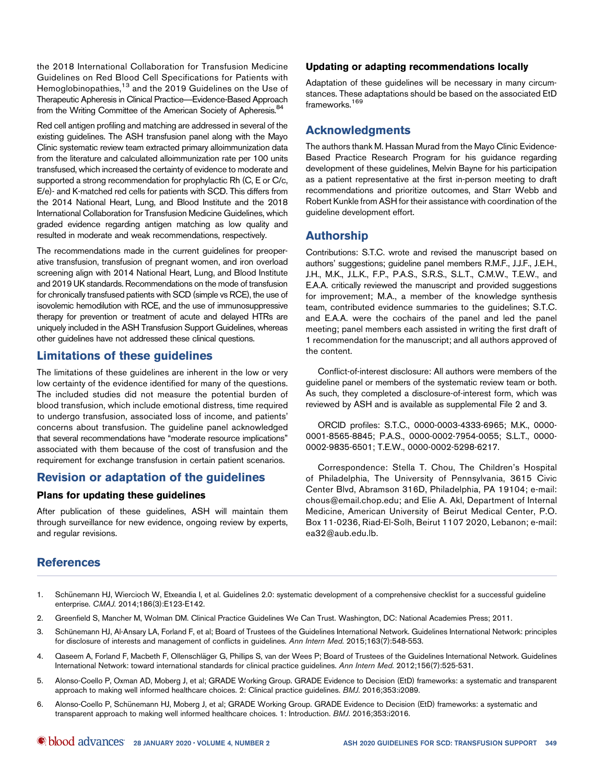the 2018 International Collaboration for Transfusion Medicine Guidelines on Red Blood Cell Specifications for Patients with Hemoglobinopathies,<sup>13</sup> and the 2019 Guidelines on the Use of Therapeutic Apheresis in Clinical Practice—Evidence-Based Approach from the Writing Committee of the American Society of Apheresis.<sup>84</sup>

Red cell antigen profiling and matching are addressed in several of the existing guidelines. The ASH transfusion panel along with the Mayo Clinic systematic review team extracted primary alloimmunization data from the literature and calculated alloimmunization rate per 100 units transfused, which increased the certainty of evidence to moderate and supported a strong recommendation for prophylactic Rh (C, E or C/c, E/e)- and K-matched red cells for patients with SCD. This differs from the 2014 National Heart, Lung, and Blood Institute and the 2018 International Collaboration for Transfusion Medicine Guidelines, which graded evidence regarding antigen matching as low quality and resulted in moderate and weak recommendations, respectively.

The recommendations made in the current guidelines for preoperative transfusion, transfusion of pregnant women, and iron overload screening align with 2014 National Heart, Lung, and Blood Institute and 2019 UK standards. Recommendations on the mode of transfusion for chronically transfused patients with SCD (simple vs RCE), the use of isovolemic hemodilution with RCE, and the use of immunosuppressive therapy for prevention or treatment of acute and delayed HTRs are uniquely included in the ASH Transfusion Support Guidelines, whereas other guidelines have not addressed these clinical questions.

# Limitations of these guidelines

The limitations of these guidelines are inherent in the low or very low certainty of the evidence identified for many of the questions. The included studies did not measure the potential burden of blood transfusion, which include emotional distress, time required to undergo transfusion, associated loss of income, and patients' concerns about transfusion. The guideline panel acknowledged that several recommendations have "moderate resource implications" associated with them because of the cost of transfusion and the requirement for exchange transfusion in certain patient scenarios.

# Revision or adaptation of the guidelines

### Plans for updating these guidelines

After publication of these guidelines, ASH will maintain them through surveillance for new evidence, ongoing review by experts, and regular revisions.

### Updating or adapting recommendations locally

Adaptation of these guidelines will be necessary in many circumstances. These adaptations should be based on the associated EtD frameworks.<sup>169</sup>

# Acknowledgments

The authors thank M. Hassan Murad from the Mayo Clinic Evidence-Based Practice Research Program for his guidance regarding development of these guidelines, Melvin Bayne for his participation as a patient representative at the first in-person meeting to draft recommendations and prioritize outcomes, and Starr Webb and Robert Kunkle from ASH for their assistance with coordination of the guideline development effort.

# Authorship

Contributions: S.T.C. wrote and revised the manuscript based on authors' suggestions; guideline panel members R.M.F., J.J.F., J.E.H., J.H., M.K., J.L.K., F.P., P.A.S., S.R.S., S.L.T., C.M.W., T.E.W., and E.A.A. critically reviewed the manuscript and provided suggestions for improvement; M.A., a member of the knowledge synthesis team, contributed evidence summaries to the guidelines; S.T.C. and E.A.A. were the cochairs of the panel and led the panel meeting; panel members each assisted in writing the first draft of 1 recommendation for the manuscript; and all authors approved of the content.

Conflict-of-interest disclosure: All authors were members of the guideline panel or members of the systematic review team or both. As such, they completed a disclosure-of-interest form, which was reviewed by ASH and is available as supplemental File 2 and 3.

ORCID profiles: S.T.C., [0000-0003-4333-6965;](https://orcid.org/0000-0003-4333-6965) M.K., [0000-](https://orcid.org/0000-0001-8565-8845) [0001-8565-8845;](https://orcid.org/0000-0001-8565-8845) P.A.S., [0000-0002-7954-0055](https://orcid.org/0000-0002-7954-0055); S.L.T., [0000-](https://orcid.org/0000-0002-9835-6501) [0002-9835-6501;](https://orcid.org/0000-0002-9835-6501) T.E.W., [0000-0002-5298-6217.](https://orcid.org/0000-0002-5298-6217)

Correspondence: Stella T. Chou, The Children's Hospital of Philadelphia, The University of Pennsylvania, 3615 Civic Center Blvd, Abramson 316D, Philadelphia, PA 19104; e-mail: [chous@email.chop.edu;](mailto:chous@email.chop.edu) and Elie A. Akl, Department of Internal Medicine, American University of Beirut Medical Center, P.O. Box 11-0236, Riad-El-Solh, Beirut 1107 2020, Lebanon; e-mail: [ea32@aub.edu.lb](mailto:ea32@aub.edu.lb).

# References

- 1. Schünemann HJ, Wiercioch W, Etxeandia I, et al. Guidelines 2.0: systematic development of a comprehensive checklist for a successful quideline enterprise. CMAJ. 2014;186(3):E123-E142.
- 2. Greenfield S, Mancher M, Wolman DM. Clinical Practice Guidelines We Can Trust. Washington, DC: National Academies Press; 2011.
- 3. Schünemann HJ, Al-Ansary LA, Forland F, et al; Board of Trustees of the Guidelines International Network. Guidelines International Network: principles for disclosure of interests and management of conflicts in guidelines. Ann Intern Med. 2015;163(7):548-553.
- 4. Caseem A, Forland F, Macbeth F, Ollenschläger G, Phillips S, van der Wees P; Board of Trustees of the Guidelines International Network. Guidelines International Network: toward international standards for clinical practice guidelines. Ann Intern Med. 2012;156(7):525-531.
- 5. Alonso-Coello P, Oxman AD, Moberg J, et al; GRADE Working Group. GRADE Evidence to Decision (EtD) frameworks: a systematic and transparent approach to making well informed healthcare choices. 2: Clinical practice guidelines. BMJ. 2016;353:i2089.
- 6. Alonso-Coello P, Schünemann HJ, Moberg J, et al; GRADE Working Group. GRADE Evidence to Decision (EtD) frameworks: a systematic and transparent approach to making well informed healthcare choices. 1: Introduction. BMJ. 2016;353:i2016.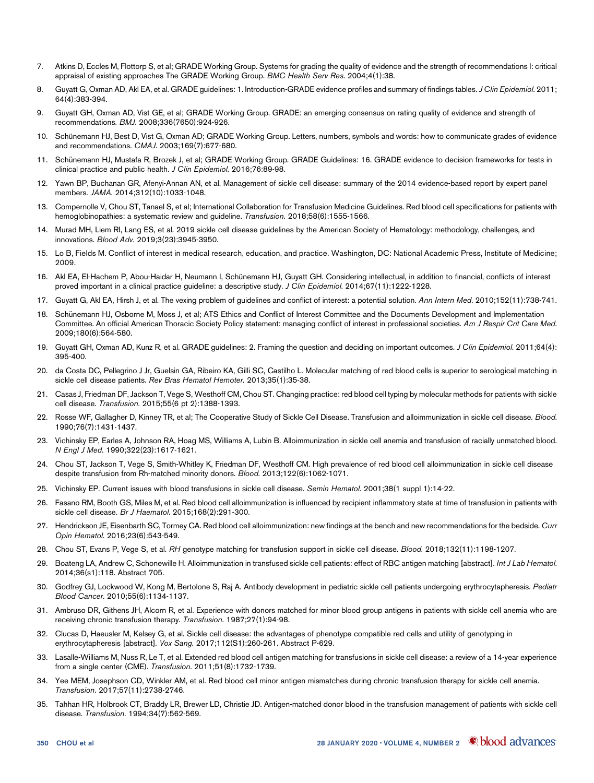- 7. Atkins D, Eccles M, Flottorp S, et al; GRADE Working Group. Systems for grading the quality of evidence and the strength of recommendations I: critical appraisal of existing approaches The GRADE Working Group. BMC Health Serv Res. 2004;4(1):38.
- 8. Guyatt G, Oxman AD, Akl EA, et al. GRADE guidelines: 1. Introduction-GRADE evidence profiles and summary of findings tables. J Clin Epidemiol. 2011; 64(4):383-394.
- 9. Guyatt GH, Oxman AD, Vist GE, et al; GRADE Working Group. GRADE: an emerging consensus on rating quality of evidence and strength of recommendations. BMJ. 2008;336(7650):924-926.
- 10. Schünemann HJ, Best D, Vist G, Oxman AD; GRADE Working Group. Letters, numbers, symbols and words: how to communicate grades of evidence and recommendations. CMAJ. 2003;169(7):677-680.
- 11. Schünemann HJ, Mustafa R, Brozek J, et al; GRADE Working Group. GRADE Guidelines: 16. GRADE evidence to decision frameworks for tests in clinical practice and public health. J Clin Epidemiol. 2016;76:89-98.
- 12. Yawn BP, Buchanan GR, Afenyi-Annan AN, et al. Management of sickle cell disease: summary of the 2014 evidence-based report by expert panel members. JAMA. 2014;312(10):1033-1048.
- 13. Compernolle V, Chou ST, Tanael S, et al; International Collaboration for Transfusion Medicine Guidelines. Red blood cell specifications for patients with hemoglobinopathies: a systematic review and guideline. Transfusion. 2018;58(6):1555-1566.
- 14. Murad MH, Liem RI, Lang ES, et al. 2019 sickle cell disease guidelines by the American Society of Hematology: methodology, challenges, and innovations. Blood Adv. 2019;3(23):3945-3950.
- 15. Lo B, Fields M. Conflict of interest in medical research, education, and practice. Washington, DC: National Academic Press, Institute of Medicine; 2009.
- 16. Akl EA, El-Hachem P, Abou-Haidar H, Neumann I, Schunemann HJ, Guyatt GH. Considering intellectual, in addition to financial, conflicts of interest ¨ proved important in a clinical practice guideline: a descriptive study. J Clin Epidemiol. 2014;67(11):1222-1228.
- 17. Guyatt G, Akl EA, Hirsh J, et al. The vexing problem of guidelines and conflict of interest: a potential solution. Ann Intern Med. 2010;152(11):738-741.
- 18. Schünemann HJ, Osborne M, Moss J, et al; ATS Ethics and Conflict of Interest Committee and the Documents Development and Implementation Committee. An official American Thoracic Society Policy statement: managing conflict of interest in professional societies. Am J Respir Crit Care Med. 2009;180(6):564-580.
- 19. Guyatt GH, Oxman AD, Kunz R, et al. GRADE guidelines: 2. Framing the question and deciding on important outcomes. J Clin Epidemiol. 2011;64(4): 395-400.
- 20. da Costa DC, Pellegrino J Jr, Guelsin GA, Ribeiro KA, Gilli SC, Castilho L. Molecular matching of red blood cells is superior to serological matching in sickle cell disease patients. Rev Bras Hematol Hemoter. 2013;35(1):35-38.
- 21. Casas J, Friedman DF, Jackson T, Vege S, Westhoff CM, Chou ST. Changing practice: red blood cell typing by molecular methods for patients with sickle cell disease. Transfusion. 2015;55(6 pt 2):1388-1393.
- 22. Rosse WF, Gallagher D, Kinney TR, et al; The Cooperative Study of Sickle Cell Disease. Transfusion and alloimmunization in sickle cell disease. Blood. 1990;76(7):1431-1437.
- 23. Vichinsky EP, Earles A, Johnson RA, Hoag MS, Williams A, Lubin B. Alloimmunization in sickle cell anemia and transfusion of racially unmatched blood. N Engl J Med. 1990;322(23):1617-1621.
- 24. Chou ST, Jackson T, Vege S, Smith-Whitley K, Friedman DF, Westhoff CM. High prevalence of red blood cell alloimmunization in sickle cell disease despite transfusion from Rh-matched minority donors. Blood. 2013;122(6):1062-1071.
- 25. Vichinsky EP. Current issues with blood transfusions in sickle cell disease. Semin Hematol. 2001;38(1 suppl 1):14-22.
- 26. Fasano RM, Booth GS, Miles M, et al. Red blood cell alloimmunization is influenced by recipient inflammatory state at time of transfusion in patients with sickle cell disease. Br J Haematol. 2015;168(2):291-300.
- 27. Hendrickson JE, Eisenbarth SC, Tormey CA. Red blood cell alloimmunization: new findings at the bench and new recommendations for the bedside. Curr Opin Hematol. 2016;23(6):543-549.
- 28. Chou ST, Evans P, Vege S, et al. RH genotype matching for transfusion support in sickle cell disease. Blood. 2018;132(11):1198-1207.
- 29. Boateng LA, Andrew C, Schonewille H. Alloimmunization in transfused sickle cell patients: effect of RBC antigen matching [abstract]. Int J Lab Hematol. 2014;36(s1):118. Abstract 705.
- 30. Godfrey GJ, Lockwood W, Kong M, Bertolone S, Raj A. Antibody development in pediatric sickle cell patients undergoing erythrocytapheresis. Pediatr Blood Cancer. 2010;55(6):1134-1137.
- 31. Ambruso DR, Githens JH, Alcorn R, et al. Experience with donors matched for minor blood group antigens in patients with sickle cell anemia who are receiving chronic transfusion therapy. Transfusion. 1987;27(1):94-98.
- 32. Clucas D, Haeusler M, Kelsey G, et al. Sickle cell disease: the advantages of phenotype compatible red cells and utility of genotyping in erythrocytapheresis [abstract]. Vox Sang. 2017;112(S1):260-261. Abstract P-629.
- 33. Lasalle-Williams M, Nuss R, Le T, et al. Extended red blood cell antigen matching for transfusions in sickle cell disease: a review of a 14-year experience from a single center (CME). Transfusion. 2011;51(8):1732-1739.
- 34. Yee MEM, Josephson CD, Winkler AM, et al. Red blood cell minor antigen mismatches during chronic transfusion therapy for sickle cell anemia. Transfusion. 2017;57(11):2738-2746.
- 35. Tahhan HR, Holbrook CT, Braddy LR, Brewer LD, Christie JD. Antigen-matched donor blood in the transfusion management of patients with sickle cell disease. Transfusion. 1994;34(7):562-569.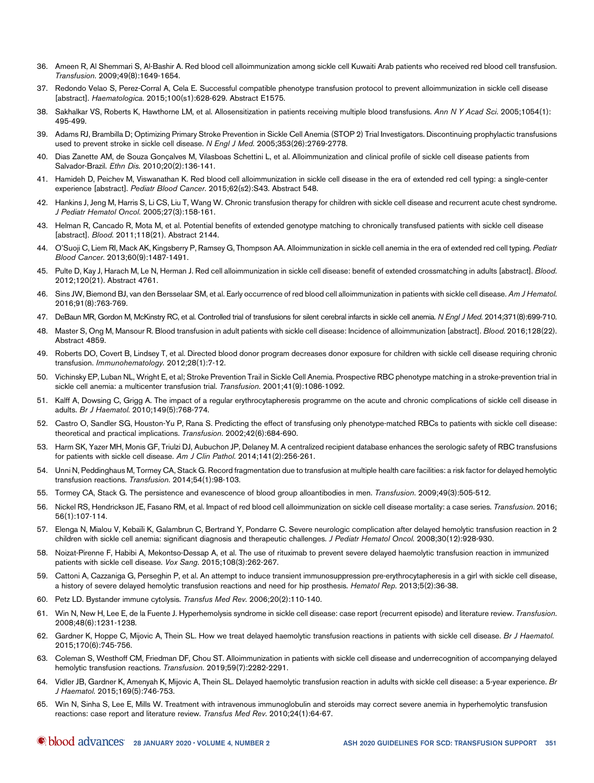- 36. Ameen R, Al Shemmari S, Al-Bashir A. Red blood cell alloimmunization among sickle cell Kuwaiti Arab patients who received red blood cell transfusion. Transfusion. 2009;49(8):1649-1654.
- 37. Redondo Velao S, Perez-Corral A, Cela E. Successful compatible phenotype transfusion protocol to prevent alloimmunization in sickle cell disease [abstract]. Haematologica. 2015;100(s1):628-629. Abstract E1575.
- 38. Sakhalkar VS, Roberts K, Hawthorne LM, et al. Allosensitization in patients receiving multiple blood transfusions. Ann N Y Acad Sci. 2005;1054(1): 495-499.
- 39. Adams RJ, Brambilla D; Optimizing Primary Stroke Prevention in Sickle Cell Anemia (STOP 2) Trial Investigators. Discontinuing prophylactic transfusions used to prevent stroke in sickle cell disease. N Engl J Med. 2005;353(26):2769-2778.
- 40. Dias Zanette AM, de Souza Gonçalves M, Vilasboas Schettini L, et al. Alloimmunization and clinical profile of sickle cell disease patients from Salvador-Brazil. Ethn Dis. 2010;20(2):136-141.
- 41. Hamideh D, Peichev M, Viswanathan K. Red blood cell alloimmunization in sickle cell disease in the era of extended red cell typing: a single-center experience [abstract]. Pediatr Blood Cancer. 2015;62(s2):S43. Abstract 548.
- 42. Hankins J, Jeng M, Harris S, Li CS, Liu T, Wang W. Chronic transfusion therapy for children with sickle cell disease and recurrent acute chest syndrome. J Pediatr Hematol Oncol. 2005;27(3):158-161.
- 43. Helman R, Cancado R, Mota M, et al. Potential benefits of extended genotype matching to chronically transfused patients with sickle cell disease [abstract]. Blood. 2011;118(21). Abstract 2144.
- 44. O'Suoji C, Liem RI, Mack AK, Kingsberry P, Ramsey G, Thompson AA. Alloimmunization in sickle cell anemia in the era of extended red cell typing. Pediatr Blood Cancer. 2013;60(9):1487-1491.
- 45. Pulte D, Kay J, Harach M, Le N, Herman J. Red cell alloimmunization in sickle cell disease: benefit of extended crossmatching in adults [abstract]. Blood. 2012;120(21). Abstract 4761.
- 46. Sins JW, Biemond BJ, van den Bersselaar SM, et al. Early occurrence of red blood cell alloimmunization in patients with sickle cell disease. Am J Hematol. 2016;91(8):763-769.
- 47. DeBaun MR, Gordon M, McKinstry RC, et al. Controlled trial of transfusions for silent cerebral infarcts in sickle cell anemia. N Engl J Med. 2014;371(8):699-710.
- Master S, Ong M, Mansour R. Blood transfusion in adult patients with sickle cell disease: Incidence of alloimmunization [abstract]. Blood. 2016;128(22). Abstract 4859.
- 49. Roberts DO, Covert B, Lindsey T, et al. Directed blood donor program decreases donor exposure for children with sickle cell disease requiring chronic transfusion. Immunohematology. 2012;28(1):7-12.
- 50. Vichinsky EP, Luban NL, Wright E, et al; Stroke Prevention Trail in Sickle Cell Anemia. Prospective RBC phenotype matching in a stroke-prevention trial in sickle cell anemia: a multicenter transfusion trial. Transfusion. 2001;41(9):1086-1092.
- 51. Kalff A, Dowsing C, Grigg A. The impact of a regular erythrocytapheresis programme on the acute and chronic complications of sickle cell disease in adults. Br J Haematol. 2010;149(5):768-774.
- 52. Castro O, Sandler SG, Houston-Yu P, Rana S. Predicting the effect of transfusing only phenotype-matched RBCs to patients with sickle cell disease: theoretical and practical implications. Transfusion. 2002;42(6):684-690.
- 53. Harm SK, Yazer MH, Monis GF, Triulzi DJ, Aubuchon JP, Delaney M. A centralized recipient database enhances the serologic safety of RBC transfusions for patients with sickle cell disease. Am J Clin Pathol. 2014;141(2):256-261.
- 54. Unni N, Peddinghaus M, Tormey CA, Stack G. Record fragmentation due to transfusion at multiple health care facilities: a risk factor for delayed hemolytic transfusion reactions. Transfusion. 2014;54(1):98-103.
- 55. Tormey CA, Stack G. The persistence and evanescence of blood group alloantibodies in men. Transfusion. 2009;49(3):505-512.
- 56. Nickel RS, Hendrickson JE, Fasano RM, et al. Impact of red blood cell alloimmunization on sickle cell disease mortality: a case series. Transfusion. 2016; 56(1):107-114.
- 57. Elenga N, Mialou V, Kebaïli K, Galambrun C, Bertrand Y, Pondarre C. Severe neurologic complication after delayed hemolytic transfusion reaction in 2 children with sickle cell anemia: significant diagnosis and therapeutic challenges. J Pediatr Hematol Oncol. 2008;30(12):928-930.
- 58. Noizat-Pirenne F, Habibi A, Mekontso-Dessap A, et al. The use of rituximab to prevent severe delayed haemolytic transfusion reaction in immunized patients with sickle cell disease. Vox Sang. 2015;108(3):262-267.
- 59. Cattoni A, Cazzaniga G, Perseghin P, et al. An attempt to induce transient immunosuppression pre-erythrocytapheresis in a girl with sickle cell disease, a history of severe delayed hemolytic transfusion reactions and need for hip prosthesis. Hematol Rep. 2013;5(2):36-38.
- 60. Petz LD. Bystander immune cytolysis. Transfus Med Rev. 2006;20(2):110-140.
- 61. Win N, New H, Lee E, de la Fuente J. Hyperhemolysis syndrome in sickle cell disease: case report (recurrent episode) and literature review. Transfusion. 2008;48(6):1231-1238.
- 62. Gardner K, Hoppe C, Mijovic A, Thein SL. How we treat delayed haemolytic transfusion reactions in patients with sickle cell disease. Br J Haematol. 2015;170(6):745-756.
- 63. Coleman S, Westhoff CM, Friedman DF, Chou ST. Alloimmunization in patients with sickle cell disease and underrecognition of accompanying delayed hemolytic transfusion reactions. Transfusion. 2019;59(7):2282-2291.
- 64. Vidler JB, Gardner K, Amenyah K, Mijovic A, Thein SL. Delayed haemolytic transfusion reaction in adults with sickle cell disease: a 5-year experience. Br J Haematol. 2015;169(5):746-753.
- 65. Win N, Sinha S, Lee E, Mills W. Treatment with intravenous immunoglobulin and steroids may correct severe anemia in hyperhemolytic transfusion reactions: case report and literature review. Transfus Med Rev. 2010;24(1):64-67.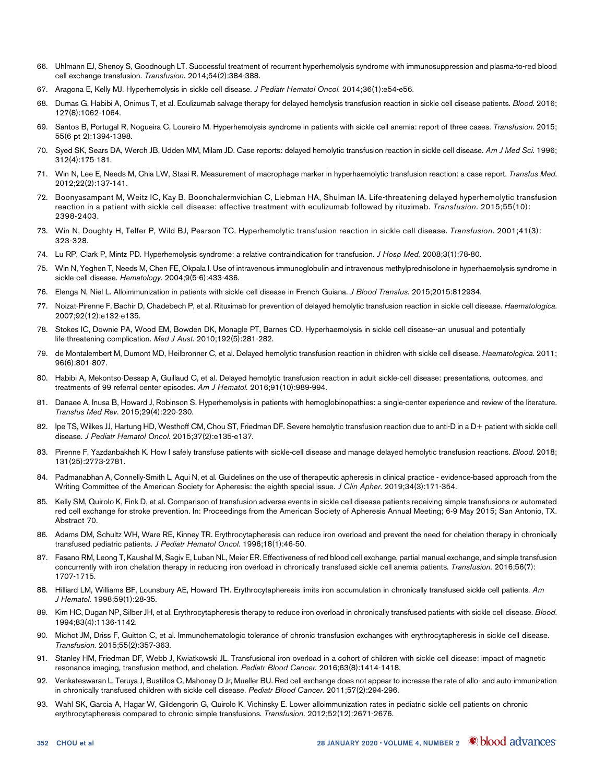- 66. Uhlmann EJ, Shenoy S, Goodnough LT. Successful treatment of recurrent hyperhemolysis syndrome with immunosuppression and plasma-to-red blood cell exchange transfusion. Transfusion. 2014;54(2):384-388.
- 67. Aragona E, Kelly MJ. Hyperhemolysis in sickle cell disease. J Pediatr Hematol Oncol. 2014;36(1):e54-e56.
- 68. Dumas G, Habibi A, Onimus T, et al. Eculizumab salvage therapy for delayed hemolysis transfusion reaction in sickle cell disease patients. Blood. 2016; 127(8):1062-1064.
- 69. Santos B, Portugal R, Nogueira C, Loureiro M. Hyperhemolysis syndrome in patients with sickle cell anemia: report of three cases. Transfusion. 2015; 55(6 pt 2):1394-1398.
- 70. Syed SK, Sears DA, Werch JB, Udden MM, Milam JD. Case reports: delayed hemolytic transfusion reaction in sickle cell disease. Am J Med Sci. 1996; 312(4):175-181.
- 71. Win N, Lee E, Needs M, Chia LW, Stasi R. Measurement of macrophage marker in hyperhaemolytic transfusion reaction: a case report. Transfus Med. 2012;22(2):137-141.
- 72. Boonyasampant M, Weitz IC, Kay B, Boonchalermvichian C, Liebman HA, Shulman IA. Life-threatening delayed hyperhemolytic transfusion reaction in a patient with sickle cell disease: effective treatment with eculizumab followed by rituximab. Transfusion. 2015;55(10): 2398-2403.
- 73. Win N, Doughty H, Telfer P, Wild BJ, Pearson TC. Hyperhemolytic transfusion reaction in sickle cell disease. Transfusion. 2001;41(3): 323-328.
- 74. Lu RP, Clark P, Mintz PD. Hyperhemolysis syndrome: a relative contraindication for transfusion. J Hosp Med. 2008;3(1):78-80.
- 75. Win N, Yeghen T, Needs M, Chen FE, Okpala I. Use of intravenous immunoglobulin and intravenous methylprednisolone in hyperhaemolysis syndrome in sickle cell disease. Hematology. 2004;9(5-6):433-436.
- 76. Elenga N, Niel L. Alloimmunization in patients with sickle cell disease in French Guiana. J Blood Transfus. 2015;2015:812934.
- 77. Noizat-Pirenne F, Bachir D, Chadebech P, et al. Rituximab for prevention of delayed hemolytic transfusion reaction in sickle cell disease. Haematologica. 2007;92(12):e132-e135.
- 78. Stokes IC, Downie PA, Wood EM, Bowden DK, Monagle PT, Barnes CD. Hyperhaemolysis in sickle cell disease--an unusual and potentially life-threatening complication. Med J Aust. 2010;192(5):281-282.
- 79. de Montalembert M, Dumont MD, Heilbronner C, et al. Delayed hemolytic transfusion reaction in children with sickle cell disease. Haematologica. 2011; 96(6):801-807.
- 80. Habibi A, Mekontso-Dessap A, Guillaud C, et al. Delayed hemolytic transfusion reaction in adult sickle-cell disease: presentations, outcomes, and treatments of 99 referral center episodes. Am J Hematol. 2016;91(10):989-994.
- 81. Danaee A, Inusa B, Howard J, Robinson S. Hyperhemolysis in patients with hemoglobinopathies: a single-center experience and review of the literature. Transfus Med Rev. 2015;29(4):220-230.
- 82. Ipe TS, Wilkes JJ, Hartung HD, Westhoff CM, Chou ST, Friedman DF. Severe hemolytic transfusion reaction due to anti-D in a D+ patient with sickle cell disease. J Pediatr Hematol Oncol. 2015;37(2):e135-e137.
- 83. Pirenne F, Yazdanbakhsh K. How I safely transfuse patients with sickle-cell disease and manage delayed hemolytic transfusion reactions. Blood. 2018; 131(25):2773-2781.
- 84. Padmanabhan A, Connelly-Smith L, Aqui N, et al. Guidelines on the use of therapeutic apheresis in clinical practice evidence-based approach from the Writing Committee of the American Society for Apheresis: the eighth special issue. J Clin Apher. 2019;34(3):171-354.
- 85. Kelly SM, Quirolo K, Fink D, et al. Comparison of transfusion adverse events in sickle cell disease patients receiving simple transfusions or automated red cell exchange for stroke prevention. In: Proceedings from the American Society of Apheresis Annual Meeting; 6-9 May 2015; San Antonio, TX. Abstract 70.
- 86. Adams DM, Schultz WH, Ware RE, Kinney TR. Erythrocytapheresis can reduce iron overload and prevent the need for chelation therapy in chronically transfused pediatric patients. J Pediatr Hematol Oncol. 1996;18(1):46-50.
- 87. Fasano RM, Leong T, Kaushal M, Sagiv E, Luban NL, Meier ER. Effectiveness of red blood cell exchange, partial manual exchange, and simple transfusion concurrently with iron chelation therapy in reducing iron overload in chronically transfused sickle cell anemia patients. Transfusion. 2016;56(7): 1707-1715.
- 88. Hilliard LM, Williams BF, Lounsbury AE, Howard TH. Erythrocytapheresis limits iron accumulation in chronically transfused sickle cell patients. Am J Hematol. 1998;59(1):28-35.
- Kim HC, Dugan NP, Silber JH, et al. Erythrocytapheresis therapy to reduce iron overload in chronically transfused patients with sickle cell disease. Blood. 1994;83(4):1136-1142.
- 90. Michot JM, Driss F, Guitton C, et al. Immunohematologic tolerance of chronic transfusion exchanges with erythrocytapheresis in sickle cell disease. Transfusion. 2015;55(2):357-363.
- 91. Stanley HM, Friedman DF, Webb J, Kwiatkowski JL. Transfusional iron overload in a cohort of children with sickle cell disease: impact of magnetic resonance imaging, transfusion method, and chelation. Pediatr Blood Cancer. 2016;63(8):1414-1418.
- 92. Venkateswaran L, Teruya J, Bustillos C, Mahoney D Jr, Mueller BU. Red cell exchange does not appear to increase the rate of allo- and auto-immunization in chronically transfused children with sickle cell disease. Pediatr Blood Cancer. 2011;57(2):294-296.
- 93. Wahl SK, Garcia A, Hagar W, Gildengorin G, Quirolo K, Vichinsky E. Lower alloimmunization rates in pediatric sickle cell patients on chronic erythrocytapheresis compared to chronic simple transfusions. Transfusion. 2012;52(12):2671-2676.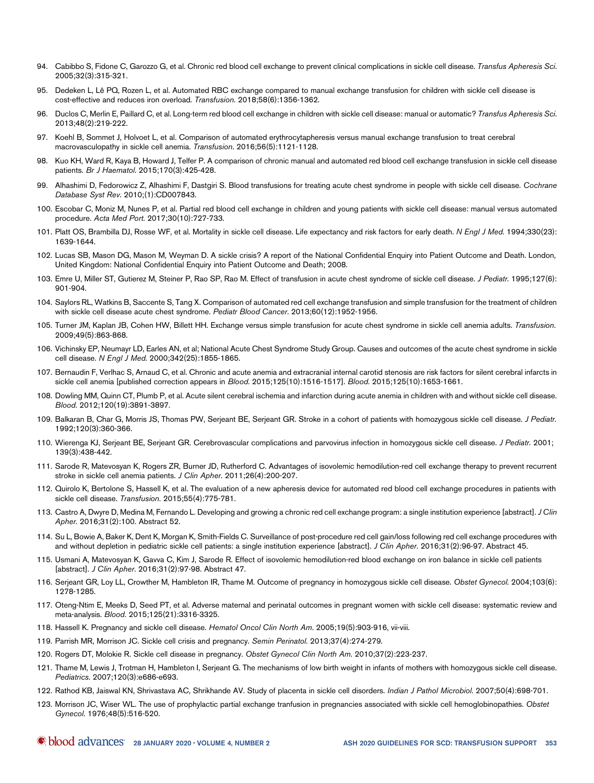- 94. Cabibbo S, Fidone C, Garozzo G, et al. Chronic red blood cell exchange to prevent clinical complications in sickle cell disease. Transfus Apheresis Sci. 2005;32(3):315-321.
- 95. Dedeken L, Lê PQ, Rozen L, et al. Automated RBC exchange compared to manual exchange transfusion for children with sickle cell disease is cost-effective and reduces iron overload. Transfusion. 2018;58(6):1356-1362.
- 96. Duclos C, Merlin E, Paillard C, et al. Long-term red blood cell exchange in children with sickle cell disease: manual or automatic? Transfus Apheresis Sci. 2013;48(2):219-222.
- 97. Koehl B, Sommet J, Holvoet L, et al. Comparison of automated erythrocytapheresis versus manual exchange transfusion to treat cerebral macrovasculopathy in sickle cell anemia. Transfusion. 2016;56(5):1121-1128.
- 98. Kuo KH, Ward R, Kaya B, Howard J, Telfer P. A comparison of chronic manual and automated red blood cell exchange transfusion in sickle cell disease patients. Br J Haematol. 2015;170(3):425-428.
- 99. Alhashimi D, Fedorowicz Z, Alhashimi F, Dastgiri S. Blood transfusions for treating acute chest syndrome in people with sickle cell disease. Cochrane Database Syst Rev. 2010;(1):CD007843.
- 100. Escobar C, Moniz M, Nunes P, et al. Partial red blood cell exchange in children and young patients with sickle cell disease: manual versus automated procedure. Acta Med Port. 2017;30(10):727-733.
- 101. Platt OS, Brambilla DJ, Rosse WF, et al. Mortality in sickle cell disease. Life expectancy and risk factors for early death. N Engl J Med. 1994;330(23): 1639-1644.
- 102. Lucas SB, Mason DG, Mason M, Weyman D. A sickle crisis? A report of the National Confidential Enquiry into Patient Outcome and Death. London, United Kingdom: National Confidential Enquiry into Patient Outcome and Death; 2008.
- 103. Emre U, Miller ST, Gutierez M, Steiner P, Rao SP, Rao M. Effect of transfusion in acute chest syndrome of sickle cell disease. J Pediatr. 1995;127(6): 901-904.
- 104. Saylors RL, Watkins B, Saccente S, Tang X. Comparison of automated red cell exchange transfusion and simple transfusion for the treatment of children with sickle cell disease acute chest syndrome. Pediatr Blood Cancer. 2013;60(12):1952-1956.
- 105. Turner JM, Kaplan JB, Cohen HW, Billett HH. Exchange versus simple transfusion for acute chest syndrome in sickle cell anemia adults. Transfusion. 2009;49(5):863-868.
- 106. Vichinsky EP, Neumayr LD, Earles AN, et al; National Acute Chest Syndrome Study Group. Causes and outcomes of the acute chest syndrome in sickle cell disease. N Engl J Med. 2000;342(25):1855-1865.
- 107. Bernaudin F, Verlhac S, Arnaud C, et al. Chronic and acute anemia and extracranial internal carotid stenosis are risk factors for silent cerebral infarcts in sickle cell anemia [published correction appears in Blood. 2015;125(10):1516-1517]. Blood. 2015;125(10):1653-1661.
- 108. Dowling MM, Quinn CT, Plumb P, et al. Acute silent cerebral ischemia and infarction during acute anemia in children with and without sickle cell disease. Blood. 2012;120(19):3891-3897.
- 109. Balkaran B, Char G, Morris JS, Thomas PW, Serjeant BE, Serjeant GR. Stroke in a cohort of patients with homozygous sickle cell disease. J Pediatr. 1992;120(3):360-366.
- 110. Wierenga KJ, Serjeant BE, Serjeant GR. Cerebrovascular complications and parvovirus infection in homozygous sickle cell disease. J Pediatr. 2001; 139(3):438-442.
- 111. Sarode R, Matevosyan K, Rogers ZR, Burner JD, Rutherford C. Advantages of isovolemic hemodilution-red cell exchange therapy to prevent recurrent stroke in sickle cell anemia patients. J Clin Apher. 2011;26(4):200-207.
- 112. Quirolo K, Bertolone S, Hassell K, et al. The evaluation of a new apheresis device for automated red blood cell exchange procedures in patients with sickle cell disease. Transfusion. 2015;55(4):775-781.
- 113. Castro A, Dwyre D, Medina M, Fernando L. Developing and growing a chronic red cell exchange program: a single institution experience [abstract]. J Clin Apher. 2016;31(2):100. Abstract 52.
- 114. Su L, Bowie A, Baker K, Dent K, Morgan K, Smith-Fields C. Surveillance of post-procedure red cell gain/loss following red cell exchange procedures with and without depletion in pediatric sickle cell patients: a single institution experience [abstract]. J Clin Apher. 2016;31(2):96-97. Abstract 45.
- 115. Usmani A, Matevosyan K, Gavva C, Kim J, Sarode R. Effect of isovolemic hemodilution-red blood exchange on iron balance in sickle cell patients [abstract]. J Clin Apher. 2016;31(2):97-98. Abstract 47.
- 116. Serjeant GR, Loy LL, Crowther M, Hambleton IR, Thame M. Outcome of pregnancy in homozygous sickle cell disease. Obstet Gynecol. 2004;103(6): 1278-1285.
- 117. Oteng-Ntim E, Meeks D, Seed PT, et al. Adverse maternal and perinatal outcomes in pregnant women with sickle cell disease: systematic review and meta-analysis. Blood. 2015;125(21):3316-3325.
- 118. Hassell K. Pregnancy and sickle cell disease. Hematol Oncol Clin North Am. 2005;19(5):903-916, vii-viii.
- 119. Parrish MR, Morrison JC. Sickle cell crisis and pregnancy. Semin Perinatol. 2013;37(4):274-279.
- 120. Rogers DT, Molokie R. Sickle cell disease in pregnancy. Obstet Gynecol Clin North Am. 2010;37(2):223-237.
- 121. Thame M, Lewis J, Trotman H, Hambleton I, Serjeant G. The mechanisms of low birth weight in infants of mothers with homozygous sickle cell disease. Pediatrics. 2007;120(3):e686-e693.
- 122. Rathod KB, Jaiswal KN, Shrivastava AC, Shrikhande AV. Study of placenta in sickle cell disorders. Indian J Pathol Microbiol. 2007;50(4):698-701.
- 123. Morrison JC, Wiser WL. The use of prophylactic partial exchange tranfusion in pregnancies associated with sickle cell hemoglobinopathies. Obstet Gynecol. 1976;48(5):516-520.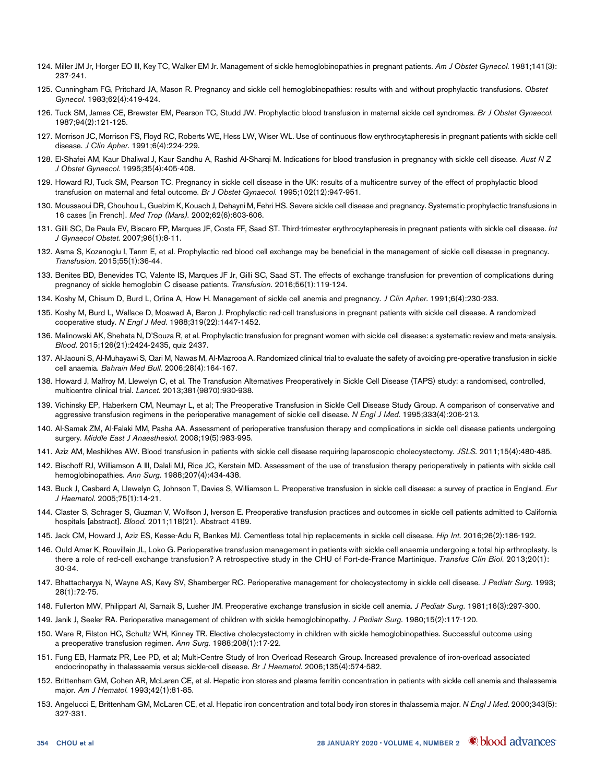- 124. Miller JM Jr, Horger EO III, Key TC, Walker EM Jr. Management of sickle hemoglobinopathies in pregnant patients. Am J Obstet Gynecol. 1981;141(3): 237-241.
- 125. Cunningham FG, Pritchard JA, Mason R. Pregnancy and sickle cell hemoglobinopathies: results with and without prophylactic transfusions. Obstet Gynecol. 1983;62(4):419-424.
- 126. Tuck SM, James CE, Brewster EM, Pearson TC, Studd JW. Prophylactic blood transfusion in maternal sickle cell syndromes. Br J Obstet Gynaecol. 1987;94(2):121-125.
- 127. Morrison JC, Morrison FS, Floyd RC, Roberts WE, Hess LW, Wiser WL. Use of continuous flow erythrocytapheresis in pregnant patients with sickle cell disease. J Clin Apher. 1991;6(4):224-229.
- 128. El-Shafei AM, Kaur Dhaliwal J, Kaur Sandhu A, Rashid Al-Sharqi M. Indications for blood transfusion in pregnancy with sickle cell disease. Aust N Z J Obstet Gynaecol. 1995;35(4):405-408.
- 129. Howard RJ, Tuck SM, Pearson TC. Pregnancy in sickle cell disease in the UK: results of a multicentre survey of the effect of prophylactic blood transfusion on maternal and fetal outcome. Br J Obstet Gynaecol. 1995;102(12):947-951.
- 130. Moussaoui DR, Chouhou L, Guelzim K, Kouach J, Dehayni M, Fehri HS. Severe sickle cell disease and pregnancy. Systematic prophylactic transfusions in 16 cases [in French]. Med Trop (Mars). 2002;62(6):603-606.
- 131. Gilli SC, De Paula EV, Biscaro FP, Marques JF, Costa FF, Saad ST. Third-trimester erythrocytapheresis in pregnant patients with sickle cell disease. Int J Gynaecol Obstet. 2007;96(1):8-11.
- 132. Asma S, Kozanoglu I, Tarım E, et al. Prophylactic red blood cell exchange may be beneficial in the management of sickle cell disease in pregnancy. Transfusion. 2015;55(1):36-44.
- 133. Benites BD, Benevides TC, Valente IS, Marques JF Jr, Gilli SC, Saad ST. The effects of exchange transfusion for prevention of complications during pregnancy of sickle hemoglobin C disease patients. Transfusion. 2016;56(1):119-124.
- 134. Koshy M, Chisum D, Burd L, Orlina A, How H. Management of sickle cell anemia and pregnancy. J Clin Apher. 1991;6(4):230-233.
- 135. Koshy M, Burd L, Wallace D, Moawad A, Baron J. Prophylactic red-cell transfusions in pregnant patients with sickle cell disease. A randomized cooperative study. N Engl J Med. 1988;319(22):1447-1452.
- 136. Malinowski AK, Shehata N, D'Souza R, et al. Prophylactic transfusion for pregnant women with sickle cell disease: a systematic review and meta-analysis. Blood. 2015;126(21):2424-2435, quiz 2437.
- 137. Al-Jaouni S, Al-Muhayawi S, Qari M, Nawas M, Al-Mazrooa A. Randomized clinical trial to evaluate the safety of avoiding pre-operative transfusion in sickle cell anaemia. Bahrain Med Bull. 2006;28(4):164-167.
- 138. Howard J, Malfroy M, Llewelyn C, et al. The Transfusion Alternatives Preoperatively in Sickle Cell Disease (TAPS) study: a randomised, controlled, multicentre clinical trial. Lancet. 2013;381(9870):930-938.
- 139. Vichinsky EP, Haberkern CM, Neumayr L, et al; The Preoperative Transfusion in Sickle Cell Disease Study Group. A comparison of conservative and aggressive transfusion regimens in the perioperative management of sickle cell disease. N Engl J Med. 1995;333(4):206-213.
- 140. Al-Samak ZM, Al-Falaki MM, Pasha AA. Assessment of perioperative transfusion therapy and complications in sickle cell disease patients undergoing surgery. Middle East J Anaesthesiol. 2008;19(5):983-995.
- 141. Aziz AM, Meshikhes AW. Blood transfusion in patients with sickle cell disease requiring laparoscopic cholecystectomy. JSLS. 2011;15(4):480-485.
- 142. Bischoff RJ, Williamson A III, Dalali MJ, Rice JC, Kerstein MD. Assessment of the use of transfusion therapy perioperatively in patients with sickle cell hemoglobinopathies. Ann Surg. 1988;207(4):434-438.
- 143. Buck J, Casbard A, Llewelyn C, Johnson T, Davies S, Williamson L. Preoperative transfusion in sickle cell disease: a survey of practice in England. Eur J Haematol. 2005;75(1):14-21.
- 144. Claster S, Schrager S, Guzman V, Wolfson J, Iverson E. Preoperative transfusion practices and outcomes in sickle cell patients admitted to California hospitals [abstract]. Blood. 2011;118(21). Abstract 4189.
- 145. Jack CM, Howard J, Aziz ES, Kesse-Adu R, Bankes MJ. Cementless total hip replacements in sickle cell disease. Hip Int. 2016;26(2):186-192.
- 146. Ould Amar K, Rouvillain JL, Loko G. Perioperative transfusion management in patients with sickle cell anaemia undergoing a total hip arthroplasty. Is there a role of red-cell exchange transfusion? A retrospective study in the CHU of Fort-de-France Martinique. Transfus Clin Biol. 2013;20(1): 30-34.
- 147. Bhattacharyya N, Wayne AS, Kevy SV, Shamberger RC. Perioperative management for cholecystectomy in sickle cell disease. J Pediatr Surg. 1993; 28(1):72-75.
- 148. Fullerton MW, Philippart AI, Sarnaik S, Lusher JM. Preoperative exchange transfusion in sickle cell anemia. J Pediatr Surg. 1981;16(3):297-300.
- 149. Janik J, Seeler RA. Perioperative management of children with sickle hemoglobinopathy. J Pediatr Surg. 1980;15(2):117-120.
- 150. Ware R, Filston HC, Schultz WH, Kinney TR. Elective cholecystectomy in children with sickle hemoglobinopathies. Successful outcome using a preoperative transfusion regimen. Ann Surg. 1988;208(1):17-22.
- 151. Fung EB, Harmatz PR, Lee PD, et al; Multi-Centre Study of Iron Overload Research Group. Increased prevalence of iron-overload associated endocrinopathy in thalassaemia versus sickle-cell disease. Br J Haematol. 2006;135(4):574-582.
- 152. Brittenham GM, Cohen AR, McLaren CE, et al. Hepatic iron stores and plasma ferritin concentration in patients with sickle cell anemia and thalassemia major. Am J Hematol. 1993;42(1):81-85.
- 153. Angelucci E, Brittenham GM, McLaren CE, et al. Hepatic iron concentration and total body iron stores in thalassemia major. N Engl J Med. 2000;343(5): 327-331.